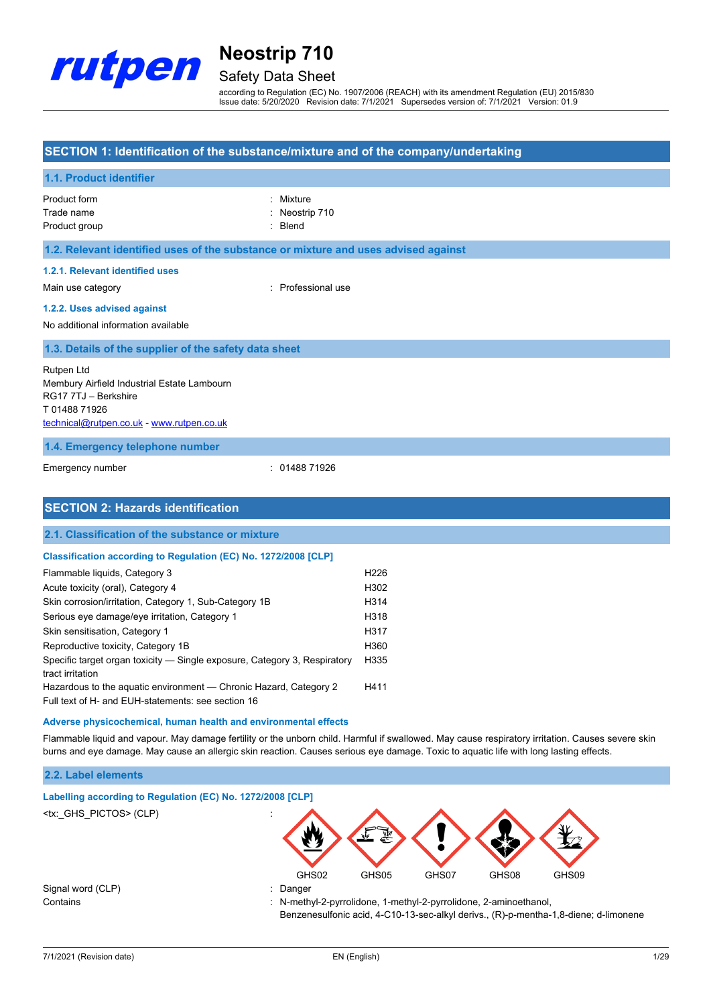

## Safety Data Sheet

according to Regulation (EC) No. 1907/2006 (REACH) with its amendment Regulation (EU) 2015/830 Issue date: 5/20/2020 Revision date: 7/1/2021 Supersedes version of: 7/1/2021 Version: 01.9

### **SECTION 1: Identification of the substance/mixture and of the company/undertaking**

### **1.1. Product identifier**

| Product form  | : Mixture      |
|---------------|----------------|
| Trade name    | : Neostrip 710 |
| Product group | : Blend        |

#### **1.2. Relevant identified uses of the substance or mixture and uses advised against**

### **1.2.1. Relevant identified uses**

Main use category **Example 20** and the Main use category **in the Contract Contract 20 and 20 and 20 and 20 and 20 and 20 and 20 and 20 and 20 and 20 and 20 and 20 and 20 and 20 and 20 and 20 and 20 and 20 and 20 and 20 and** 

#### **1.2.2. Uses advised against**

No additional information available

### **1.3. Details of the supplier of the safety data sheet**

Rutpen Ltd Membury Airfield Industrial Estate Lambourn RG17 7TJ – Berkshire T 01488 71926 [technical@rutpen.co.uk](mailto:technical@rutpen.co.uk) - [www.rutpen.co.uk](http://www.rutpen.co.uk/)

### **1.4. Emergency telephone number**

Emergency number : 01488 71926

### **SECTION 2: Hazards identification**

#### **2.1. Classification of the substance or mixture**

#### **Classification according to Regulation (EC) No. 1272/2008 [CLP]**

| Flammable liquids, Category 3                                                                 | H <sub>226</sub> |
|-----------------------------------------------------------------------------------------------|------------------|
| Acute toxicity (oral), Category 4                                                             | H302             |
| Skin corrosion/irritation, Category 1, Sub-Category 1B                                        | H314             |
| Serious eye damage/eye irritation, Category 1                                                 | H318             |
| Skin sensitisation, Category 1                                                                | H317             |
| Reproductive toxicity, Category 1B                                                            | H360             |
| Specific target organ toxicity — Single exposure, Category 3, Respiratory<br>tract irritation | H335             |
| Hazardous to the aquatic environment - Chronic Hazard, Category 2                             | H411             |
| Full text of H- and EUH-statements: see section 16                                            |                  |

#### **Adverse physicochemical, human health and environmental effects**

Flammable liquid and vapour. May damage fertility or the unborn child. Harmful if swallowed. May cause respiratory irritation. Causes severe skin burns and eye damage. May cause an allergic skin reaction. Causes serious eye damage. Toxic to aquatic life with long lasting effects.

### **2.2. Label elements**

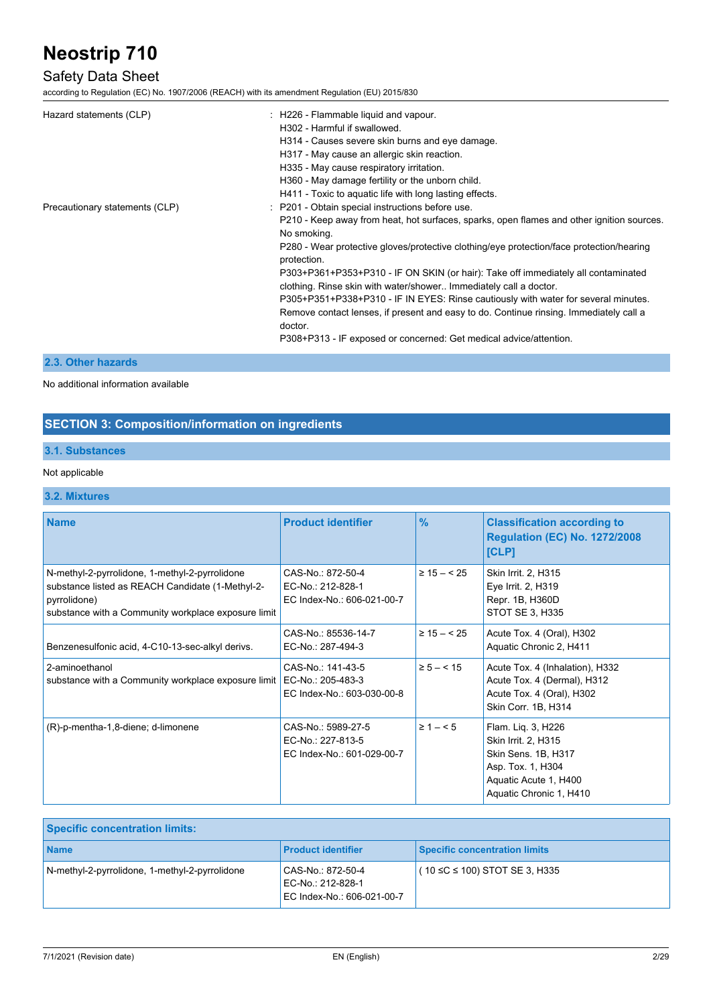### Safety Data Sheet

according to Regulation (EC) No. 1907/2006 (REACH) with its amendment Regulation (EU) 2015/830

| Hazard statements (CLP)        | : H226 - Flammable liquid and vapour.                                                                                                                  |
|--------------------------------|--------------------------------------------------------------------------------------------------------------------------------------------------------|
|                                | H302 - Harmful if swallowed.                                                                                                                           |
|                                | H314 - Causes severe skin burns and eye damage.                                                                                                        |
|                                | H317 - May cause an allergic skin reaction.                                                                                                            |
|                                | H335 - May cause respiratory irritation.                                                                                                               |
|                                | H360 - May damage fertility or the unborn child.                                                                                                       |
|                                | H411 - Toxic to aquatic life with long lasting effects.                                                                                                |
| Precautionary statements (CLP) | : P201 - Obtain special instructions before use.                                                                                                       |
|                                | P210 - Keep away from heat, hot surfaces, sparks, open flames and other ignition sources.<br>No smoking.                                               |
|                                | P280 - Wear protective gloves/protective clothing/eye protection/face protection/hearing<br>protection.                                                |
|                                | P303+P361+P353+P310 - IF ON SKIN (or hair): Take off immediately all contaminated<br>clothing. Rinse skin with water/shower Immediately call a doctor. |
|                                | P305+P351+P338+P310 - IF IN EYES: Rinse cautiously with water for several minutes.                                                                     |
|                                | Remove contact lenses, if present and easy to do. Continue rinsing. Immediately call a                                                                 |
|                                | doctor.                                                                                                                                                |
|                                | P308+P313 - IF exposed or concerned: Get medical advice/attention.                                                                                     |
|                                |                                                                                                                                                        |

### **2.3. Other hazards**

### No additional information available

### **SECTION 3: Composition/information on ingredients**

### **3.1. Substances**

### Not applicable

### **3.2. Mixtures**

| <b>Name</b>                                                                                                                                                               | <b>Product identifier</b>                                             | $\frac{9}{6}$   | <b>Classification according to</b><br><b>Regulation (EC) No. 1272/2008</b><br>[CLP]                                                       |
|---------------------------------------------------------------------------------------------------------------------------------------------------------------------------|-----------------------------------------------------------------------|-----------------|-------------------------------------------------------------------------------------------------------------------------------------------|
| N-methyl-2-pyrrolidone, 1-methyl-2-pyrrolidone<br>substance listed as REACH Candidate (1-Methyl-2-<br>pyrrolidone)<br>substance with a Community workplace exposure limit | CAS-No.: 872-50-4<br>EC-No.: 212-828-1<br>EC Index-No.: 606-021-00-7  | $\geq 15 - 525$ | Skin Irrit. 2, H315<br>Eye Irrit. 2, H319<br>Repr. 1B, H360D<br>STOT SE 3, H335                                                           |
| Benzenesulfonic acid, 4-C10-13-sec-alkyl derivs.                                                                                                                          | CAS-No.: 85536-14-7<br>EC-No.: 287-494-3                              | $\geq 15 - 525$ | Acute Tox. 4 (Oral), H302<br>Aquatic Chronic 2, H411                                                                                      |
| 2-aminoethanol<br>substance with a Community workplace exposure limit                                                                                                     | CAS-No.: 141-43-5<br>EC-No.: 205-483-3<br>EC Index-No.: 603-030-00-8  | $\ge 5 - < 15$  | Acute Tox. 4 (Inhalation), H332<br>Acute Tox. 4 (Dermal), H312<br>Acute Tox. 4 (Oral), H302<br>Skin Corr. 1B, H314                        |
| (R)-p-mentha-1,8-diene; d-limonene                                                                                                                                        | CAS-No.: 5989-27-5<br>EC-No.: 227-813-5<br>EC Index-No.: 601-029-00-7 | $\ge 1 - 5$     | Flam. Lig. 3, H226<br>Skin Irrit. 2, H315<br>Skin Sens. 1B, H317<br>Asp. Tox. 1, H304<br>Aquatic Acute 1, H400<br>Aquatic Chronic 1, H410 |

| <b>Specific concentration limits:</b>          |                                                                      |                                      |
|------------------------------------------------|----------------------------------------------------------------------|--------------------------------------|
| <b>Name</b>                                    | <b>Product identifier</b>                                            | Specific concentration limits        |
| N-methyl-2-pyrrolidone, 1-methyl-2-pyrrolidone | CAS-No.: 872-50-4<br>EC-No.: 212-828-1<br>EC Index-No.: 606-021-00-7 | $(10 \le C \le 100)$ STOT SE 3, H335 |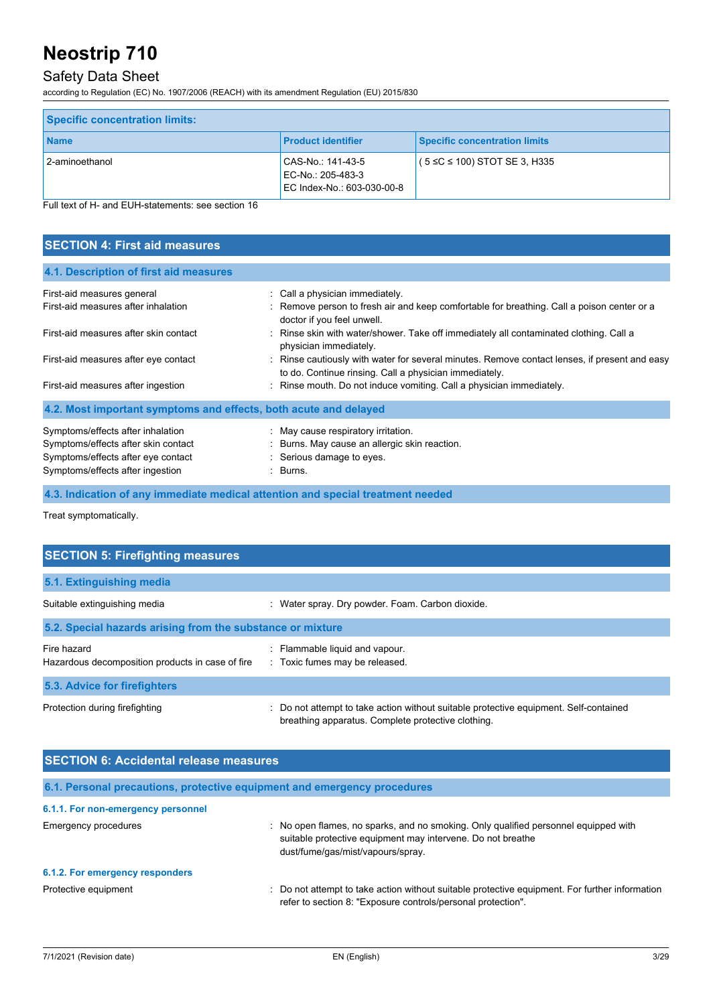### Safety Data Sheet

according to Regulation (EC) No. 1907/2006 (REACH) with its amendment Regulation (EU) 2015/830

| <b>Specific concentration limits:</b> |                                                                      |                                      |
|---------------------------------------|----------------------------------------------------------------------|--------------------------------------|
| <b>Name</b>                           | <b>Product identifier</b>                                            | <b>Specific concentration limits</b> |
| 2-aminoethanol                        | CAS-No.: 141-43-5<br>EC-No.: 205-483-3<br>EC Index-No.: 603-030-00-8 | $(5 \le C \le 100)$ STOT SE 3, H335  |

Full text of H- and EUH-statements: see section 16

| <b>SECTION 4: First aid measures</b>                                                                                                               |                                                                                                                                                             |
|----------------------------------------------------------------------------------------------------------------------------------------------------|-------------------------------------------------------------------------------------------------------------------------------------------------------------|
| 4.1. Description of first aid measures                                                                                                             |                                                                                                                                                             |
| First-aid measures general<br>First-aid measures after inhalation                                                                                  | : Call a physician immediately.<br>: Remove person to fresh air and keep comfortable for breathing. Call a poison center or a<br>doctor if you feel unwell. |
| First-aid measures after skin contact                                                                                                              | : Rinse skin with water/shower. Take off immediately all contaminated clothing. Call a<br>physician immediately.                                            |
| First-aid measures after eye contact                                                                                                               | : Rinse cautiously with water for several minutes. Remove contact lenses, if present and easy<br>to do. Continue rinsing. Call a physician immediately.     |
| First-aid measures after ingestion                                                                                                                 | : Rinse mouth. Do not induce vomiting. Call a physician immediately.                                                                                        |
| 4.2. Most important symptoms and effects, both acute and delayed                                                                                   |                                                                                                                                                             |
| Symptoms/effects after inhalation<br>Symptoms/effects after skin contact<br>Symptoms/effects after eye contact<br>Symptoms/effects after ingestion | : May cause respiratory irritation.<br>: Burns. May cause an allergic skin reaction.<br>: Serious damage to eyes.<br>: Burns.                               |

**4.3. Indication of any immediate medical attention and special treatment needed**

Treat symptomatically.

| <b>SECTION 5: Firefighting measures</b>                         |                                                                                                                                             |
|-----------------------------------------------------------------|---------------------------------------------------------------------------------------------------------------------------------------------|
| 5.1. Extinguishing media                                        |                                                                                                                                             |
| Suitable extinguishing media                                    | : Water spray. Dry powder. Foam. Carbon dioxide.                                                                                            |
| 5.2. Special hazards arising from the substance or mixture      |                                                                                                                                             |
| Fire hazard<br>Hazardous decomposition products in case of fire | : Flammable liquid and vapour.<br>: Toxic fumes may be released.                                                                            |
| 5.3. Advice for firefighters                                    |                                                                                                                                             |
| Protection during firefighting                                  | : Do not attempt to take action without suitable protective equipment. Self-contained<br>breathing apparatus. Complete protective clothing. |

| <b>SECTION 6: Accidental release measures</b> |                                                                                                                                                                                         |
|-----------------------------------------------|-----------------------------------------------------------------------------------------------------------------------------------------------------------------------------------------|
|                                               | 6.1. Personal precautions, protective equipment and emergency procedures                                                                                                                |
| 6.1.1. For non-emergency personnel            |                                                                                                                                                                                         |
| Emergency procedures                          | : No open flames, no sparks, and no smoking. Only qualified personnel equipped with<br>suitable protective equipment may intervene. Do not breathe<br>dust/fume/gas/mist/vapours/spray. |
| 6.1.2. For emergency responders               |                                                                                                                                                                                         |
| Protective equipment                          | : Do not attempt to take action without suitable protective equipment. For further information<br>refer to section 8: "Exposure controls/personal protection".                          |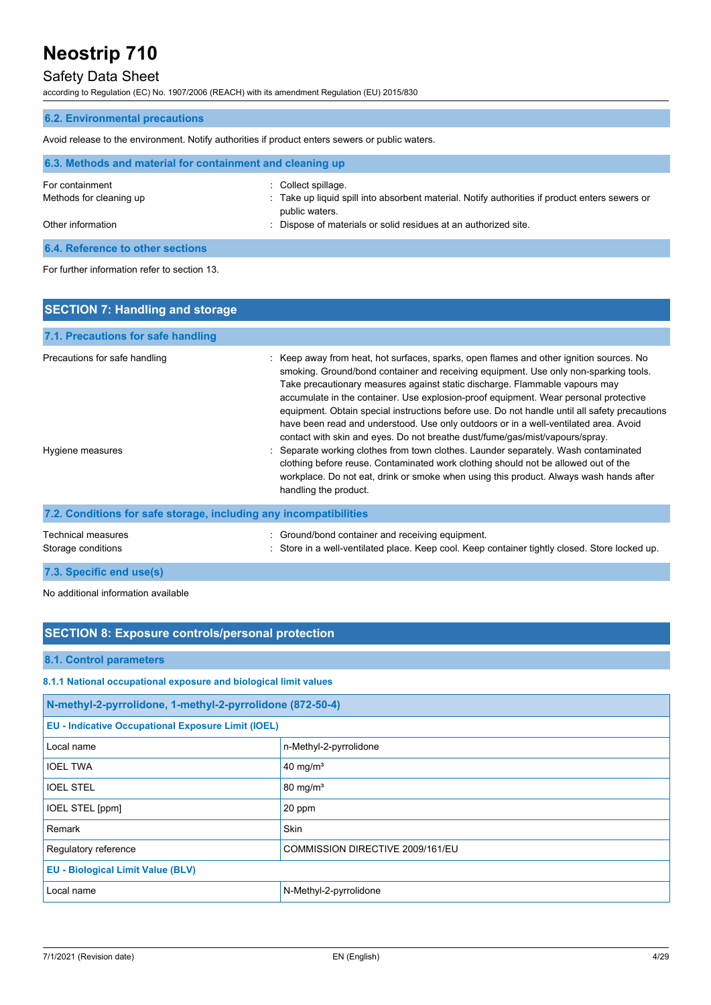### Safety Data Sheet

according to Regulation (EC) No. 1907/2006 (REACH) with its amendment Regulation (EU) 2015/830

### **6.2. Environmental precautions**

Avoid release to the environment. Notify authorities if product enters sewers or public waters.

| 6.3. Methods and material for containment and cleaning up |                                                                                                                  |
|-----------------------------------------------------------|------------------------------------------------------------------------------------------------------------------|
| For containment                                           | : Collect spillage.                                                                                              |
| Methods for cleaning up                                   | : Take up liquid spill into absorbent material. Notify authorities if product enters sewers or<br>public waters. |
| Other information                                         | : Dispose of materials or solid residues at an authorized site.                                                  |
| 6.4. Reference to other sections                          |                                                                                                                  |

#### For further information refer to section 13.

| <b>SECTION 7: Handling and storage</b>                            |                                                                                                                                                                                                                                                                                                                                                                                                                                                                                                                                                                                                                                                                                                                                                                                                              |
|-------------------------------------------------------------------|--------------------------------------------------------------------------------------------------------------------------------------------------------------------------------------------------------------------------------------------------------------------------------------------------------------------------------------------------------------------------------------------------------------------------------------------------------------------------------------------------------------------------------------------------------------------------------------------------------------------------------------------------------------------------------------------------------------------------------------------------------------------------------------------------------------|
| 7.1. Precautions for safe handling                                |                                                                                                                                                                                                                                                                                                                                                                                                                                                                                                                                                                                                                                                                                                                                                                                                              |
| Precautions for safe handling<br>Hygiene measures                 | : Keep away from heat, hot surfaces, sparks, open flames and other ignition sources. No<br>smoking. Ground/bond container and receiving equipment. Use only non-sparking tools.<br>Take precautionary measures against static discharge. Flammable vapours may<br>accumulate in the container. Use explosion-proof equipment. Wear personal protective<br>equipment. Obtain special instructions before use. Do not handle until all safety precautions<br>have been read and understood. Use only outdoors or in a well-ventilated area. Avoid<br>contact with skin and eyes. Do not breathe dust/fume/gas/mist/vapours/spray.<br>: Separate working clothes from town clothes. Launder separately. Wash contaminated<br>clothing before reuse. Contaminated work clothing should not be allowed out of the |
| 7.2. Conditions for safe storage, including any incompatibilities | workplace. Do not eat, drink or smoke when using this product. Always wash hands after<br>handling the product.                                                                                                                                                                                                                                                                                                                                                                                                                                                                                                                                                                                                                                                                                              |
| Technical measures                                                | : Ground/bond container and receiving equipment.                                                                                                                                                                                                                                                                                                                                                                                                                                                                                                                                                                                                                                                                                                                                                             |

: Store in a well-ventilated place. Keep cool. Keep container tightly closed. Store locked up.

| Storage conditions |
|--------------------|
|--------------------|

**7.3. Specific end use(s)**

### No additional information available

### **SECTION 8: Exposure controls/personal protection**

### **8.1. Control parameters**

### **8.1.1 National occupational exposure and biological limit values**

| N-methyl-2-pyrrolidone, 1-methyl-2-pyrrolidone (872-50-4) |                                  |
|-----------------------------------------------------------|----------------------------------|
| <b>EU - Indicative Occupational Exposure Limit (IOEL)</b> |                                  |
| Local name                                                | n-Methyl-2-pyrrolidone           |
| <b>IOEL TWA</b>                                           | 40 mg/m <sup>3</sup>             |
| <b>IOEL STEL</b>                                          | $80 \text{ mg/m}^3$              |
| <b>IOEL STEL [ppm]</b>                                    | 20 ppm                           |
| Remark                                                    | <b>Skin</b>                      |
| Regulatory reference                                      | COMMISSION DIRECTIVE 2009/161/EU |
| <b>EU - Biological Limit Value (BLV)</b>                  |                                  |
| Local name                                                | N-Methyl-2-pyrrolidone           |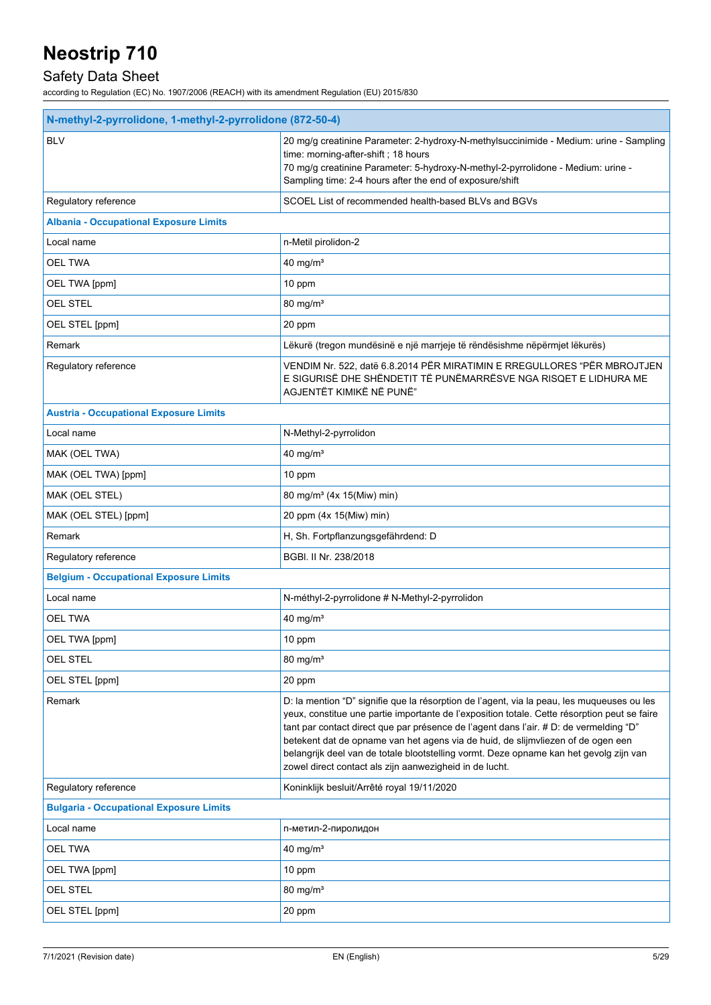## Safety Data Sheet

| N-methyl-2-pyrrolidone, 1-methyl-2-pyrrolidone (872-50-4) |                                                                                                                                                                                                                                                                                                                                                                                                                                                                                                                               |  |
|-----------------------------------------------------------|-------------------------------------------------------------------------------------------------------------------------------------------------------------------------------------------------------------------------------------------------------------------------------------------------------------------------------------------------------------------------------------------------------------------------------------------------------------------------------------------------------------------------------|--|
| <b>BLV</b>                                                | 20 mg/g creatinine Parameter: 2-hydroxy-N-methylsuccinimide - Medium: urine - Sampling<br>time: morning-after-shift; 18 hours<br>70 mg/g creatinine Parameter: 5-hydroxy-N-methyl-2-pyrrolidone - Medium: urine -<br>Sampling time: 2-4 hours after the end of exposure/shift                                                                                                                                                                                                                                                 |  |
| Regulatory reference                                      | SCOEL List of recommended health-based BLVs and BGVs                                                                                                                                                                                                                                                                                                                                                                                                                                                                          |  |
| <b>Albania - Occupational Exposure Limits</b>             |                                                                                                                                                                                                                                                                                                                                                                                                                                                                                                                               |  |
| Local name                                                | n-Metil pirolidon-2                                                                                                                                                                                                                                                                                                                                                                                                                                                                                                           |  |
| <b>OEL TWA</b>                                            | 40 mg/ $m3$                                                                                                                                                                                                                                                                                                                                                                                                                                                                                                                   |  |
| OEL TWA [ppm]                                             | 10 ppm                                                                                                                                                                                                                                                                                                                                                                                                                                                                                                                        |  |
| <b>OEL STEL</b>                                           | $80 \text{ mg/m}^3$                                                                                                                                                                                                                                                                                                                                                                                                                                                                                                           |  |
| OEL STEL [ppm]                                            | 20 ppm                                                                                                                                                                                                                                                                                                                                                                                                                                                                                                                        |  |
| Remark                                                    | Lëkurë (tregon mundësinë e një marrjeje të rëndësishme nëpërmjet lëkurës)                                                                                                                                                                                                                                                                                                                                                                                                                                                     |  |
| Regulatory reference                                      | VENDIM Nr. 522, datë 6.8.2014 PËR MIRATIMIN E RREGULLORES "PËR MBROJTJEN<br>E SIGURISË DHE SHËNDETIT TË PUNËMARRËSVE NGA RISQET E LIDHURA ME<br>AGJENTËT KIMIKË NË PUNË"                                                                                                                                                                                                                                                                                                                                                      |  |
| <b>Austria - Occupational Exposure Limits</b>             |                                                                                                                                                                                                                                                                                                                                                                                                                                                                                                                               |  |
| Local name                                                | N-Methyl-2-pyrrolidon                                                                                                                                                                                                                                                                                                                                                                                                                                                                                                         |  |
| MAK (OEL TWA)                                             | 40 mg/ $m3$                                                                                                                                                                                                                                                                                                                                                                                                                                                                                                                   |  |
| MAK (OEL TWA) [ppm]                                       | 10 ppm                                                                                                                                                                                                                                                                                                                                                                                                                                                                                                                        |  |
| MAK (OEL STEL)                                            | 80 mg/m <sup>3</sup> (4x 15(Miw) min)                                                                                                                                                                                                                                                                                                                                                                                                                                                                                         |  |
| MAK (OEL STEL) [ppm]                                      | 20 ppm (4x 15(Miw) min)                                                                                                                                                                                                                                                                                                                                                                                                                                                                                                       |  |
| Remark                                                    | H, Sh. Fortpflanzungsgefährdend: D                                                                                                                                                                                                                                                                                                                                                                                                                                                                                            |  |
| Regulatory reference                                      | BGBI. II Nr. 238/2018                                                                                                                                                                                                                                                                                                                                                                                                                                                                                                         |  |
| <b>Belgium - Occupational Exposure Limits</b>             |                                                                                                                                                                                                                                                                                                                                                                                                                                                                                                                               |  |
| Local name                                                | N-méthyl-2-pyrrolidone # N-Methyl-2-pyrrolidon                                                                                                                                                                                                                                                                                                                                                                                                                                                                                |  |
| <b>OEL TWA</b>                                            | $40$ mg/m <sup>3</sup>                                                                                                                                                                                                                                                                                                                                                                                                                                                                                                        |  |
| OEL TWA [ppm]                                             | 10 ppm                                                                                                                                                                                                                                                                                                                                                                                                                                                                                                                        |  |
| <b>OEL STEL</b>                                           | 80 mg/m <sup>3</sup>                                                                                                                                                                                                                                                                                                                                                                                                                                                                                                          |  |
| OEL STEL [ppm]                                            | 20 ppm                                                                                                                                                                                                                                                                                                                                                                                                                                                                                                                        |  |
| Remark                                                    | D: la mention "D" signifie que la résorption de l'agent, via la peau, les muqueuses ou les<br>yeux, constitue une partie importante de l'exposition totale. Cette résorption peut se faire<br>tant par contact direct que par présence de l'agent dans l'air. # D: de vermelding "D"<br>betekent dat de opname van het agens via de huid, de slijmvliezen of de ogen een<br>belangrijk deel van de totale blootstelling vormt. Deze opname kan het gevolg zijn van<br>zowel direct contact als zijn aanwezigheid in de lucht. |  |
| Regulatory reference                                      | Koninklijk besluit/Arrêté royal 19/11/2020                                                                                                                                                                                                                                                                                                                                                                                                                                                                                    |  |
| <b>Bulgaria - Occupational Exposure Limits</b>            |                                                                                                                                                                                                                                                                                                                                                                                                                                                                                                                               |  |
| Local name                                                | n-метил-2-пиролидон                                                                                                                                                                                                                                                                                                                                                                                                                                                                                                           |  |
| OEL TWA                                                   | 40 mg/ $m3$                                                                                                                                                                                                                                                                                                                                                                                                                                                                                                                   |  |
| OEL TWA [ppm]                                             | 10 ppm                                                                                                                                                                                                                                                                                                                                                                                                                                                                                                                        |  |
| <b>OEL STEL</b>                                           | 80 mg/ $m3$                                                                                                                                                                                                                                                                                                                                                                                                                                                                                                                   |  |
| OEL STEL [ppm]                                            | 20 ppm                                                                                                                                                                                                                                                                                                                                                                                                                                                                                                                        |  |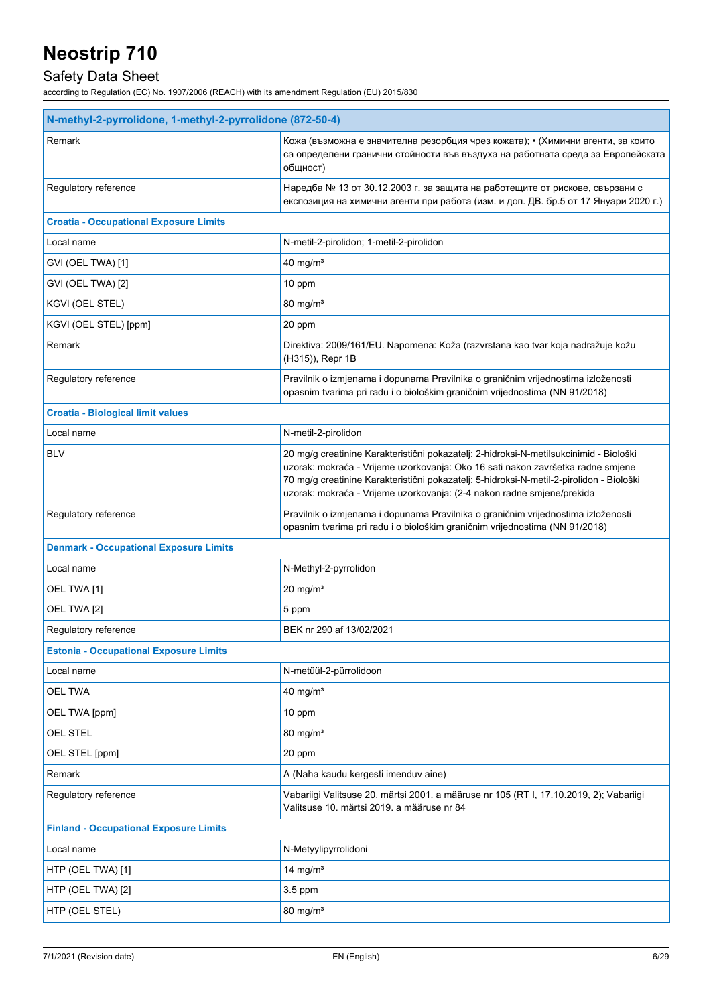## Safety Data Sheet

| N-methyl-2-pyrrolidone, 1-methyl-2-pyrrolidone (872-50-4) |                                                                                                                                                                                                                                                                                                                                                 |  |
|-----------------------------------------------------------|-------------------------------------------------------------------------------------------------------------------------------------------------------------------------------------------------------------------------------------------------------------------------------------------------------------------------------------------------|--|
| Remark                                                    | Кожа (възможна е значителна резорбция чрез кожата); • (Химични агенти, за които<br>са определени гранични стойности във въздуха на работната среда за Европейската<br>общност)                                                                                                                                                                  |  |
| Regulatory reference                                      | Наредба № 13 от 30.12.2003 г. за защита на работещите от рискове, свързани с<br>експозиция на химични агенти при работа (изм. и доп. ДВ. бр.5 от 17 Януари 2020 г.)                                                                                                                                                                             |  |
| <b>Croatia - Occupational Exposure Limits</b>             |                                                                                                                                                                                                                                                                                                                                                 |  |
| Local name                                                | N-metil-2-pirolidon; 1-metil-2-pirolidon                                                                                                                                                                                                                                                                                                        |  |
| GVI (OEL TWA) [1]                                         | $40$ mg/m <sup>3</sup>                                                                                                                                                                                                                                                                                                                          |  |
| GVI (OEL TWA) [2]                                         | 10 ppm                                                                                                                                                                                                                                                                                                                                          |  |
| KGVI (OEL STEL)                                           | 80 mg/m <sup>3</sup>                                                                                                                                                                                                                                                                                                                            |  |
| KGVI (OEL STEL) [ppm]                                     | 20 ppm                                                                                                                                                                                                                                                                                                                                          |  |
| Remark                                                    | Direktiva: 2009/161/EU. Napomena: Koža (razvrstana kao tvar koja nadražuje kožu<br>(H315)), Repr 1B                                                                                                                                                                                                                                             |  |
| Regulatory reference                                      | Pravilnik o izmjenama i dopunama Pravilnika o graničnim vrijednostima izloženosti<br>opasnim tvarima pri radu i o biološkim graničnim vrijednostima (NN 91/2018)                                                                                                                                                                                |  |
| <b>Croatia - Biological limit values</b>                  |                                                                                                                                                                                                                                                                                                                                                 |  |
| Local name                                                | N-metil-2-pirolidon                                                                                                                                                                                                                                                                                                                             |  |
| <b>BLV</b>                                                | 20 mg/g creatinine Karakteristični pokazatelj: 2-hidroksi-N-metilsukcinimid - Biološki<br>uzorak: mokraća - Vrijeme uzorkovanja: Oko 16 sati nakon završetka radne smjene<br>70 mg/g creatinine Karakteristični pokazatelj: 5-hidroksi-N-metil-2-pirolidon - Biološki<br>uzorak: mokraća - Vrijeme uzorkovanja: (2-4 nakon radne smjene/prekida |  |
| Regulatory reference                                      | Pravilnik o izmjenama i dopunama Pravilnika o graničnim vrijednostima izloženosti<br>opasnim tvarima pri radu i o biološkim graničnim vrijednostima (NN 91/2018)                                                                                                                                                                                |  |
| <b>Denmark - Occupational Exposure Limits</b>             |                                                                                                                                                                                                                                                                                                                                                 |  |
| Local name                                                | N-Methyl-2-pyrrolidon                                                                                                                                                                                                                                                                                                                           |  |
| OEL TWA [1]                                               | $20 \text{ mg/m}^3$                                                                                                                                                                                                                                                                                                                             |  |
| OEL TWA [2]                                               | 5 ppm                                                                                                                                                                                                                                                                                                                                           |  |
| Regulatory reference                                      | BEK nr 290 af 13/02/2021                                                                                                                                                                                                                                                                                                                        |  |
| <b>Estonia - Occupational Exposure Limits</b>             |                                                                                                                                                                                                                                                                                                                                                 |  |
| Local name                                                | N-metüül-2-pürrolidoon                                                                                                                                                                                                                                                                                                                          |  |
| <b>OEL TWA</b>                                            | 40 mg/ $m3$                                                                                                                                                                                                                                                                                                                                     |  |
| OEL TWA [ppm]                                             | 10 ppm                                                                                                                                                                                                                                                                                                                                          |  |
| OEL STEL                                                  | 80 mg/ $m3$                                                                                                                                                                                                                                                                                                                                     |  |
| OEL STEL [ppm]                                            | 20 ppm                                                                                                                                                                                                                                                                                                                                          |  |
| Remark                                                    | A (Naha kaudu kergesti imenduv aine)                                                                                                                                                                                                                                                                                                            |  |
| Regulatory reference                                      | Vabariigi Valitsuse 20. märtsi 2001. a määruse nr 105 (RT I, 17.10.2019, 2); Vabariigi<br>Valitsuse 10. märtsi 2019. a määruse nr 84                                                                                                                                                                                                            |  |
| <b>Finland - Occupational Exposure Limits</b>             |                                                                                                                                                                                                                                                                                                                                                 |  |
| Local name                                                | N-Metyylipyrrolidoni                                                                                                                                                                                                                                                                                                                            |  |
| HTP (OEL TWA) [1]                                         | 14 mg/m <sup>3</sup>                                                                                                                                                                                                                                                                                                                            |  |
| HTP (OEL TWA) [2]                                         | 3.5 ppm                                                                                                                                                                                                                                                                                                                                         |  |
| HTP (OEL STEL)                                            | 80 mg/ $m3$                                                                                                                                                                                                                                                                                                                                     |  |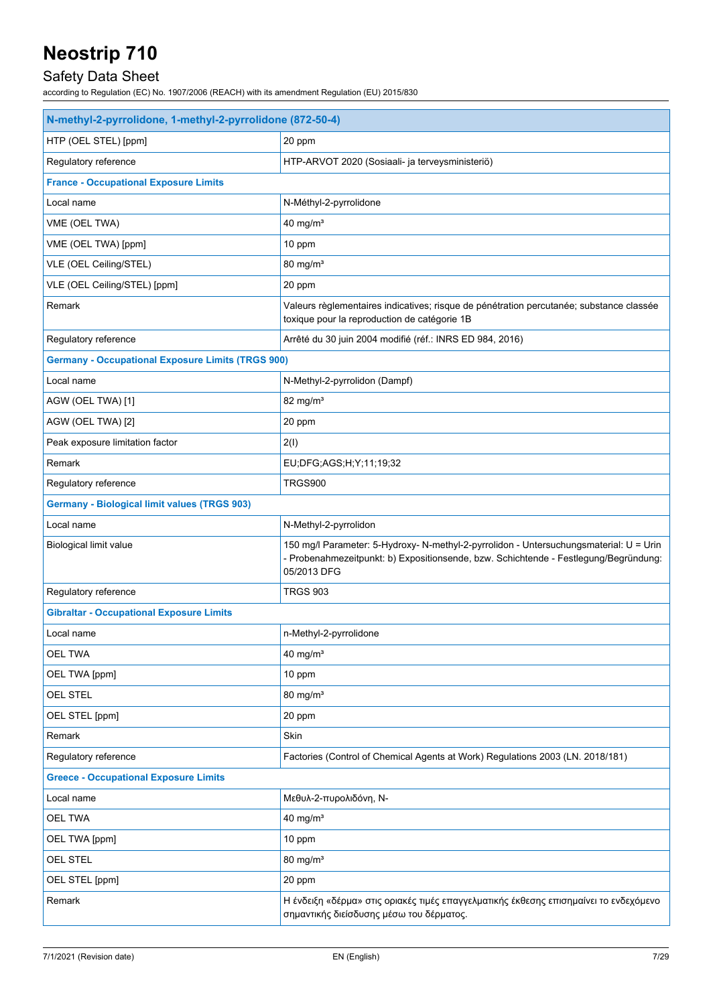## Safety Data Sheet

| N-methyl-2-pyrrolidone, 1-methyl-2-pyrrolidone (872-50-4) |                                                                                                                                                                                               |  |
|-----------------------------------------------------------|-----------------------------------------------------------------------------------------------------------------------------------------------------------------------------------------------|--|
| HTP (OEL STEL) [ppm]                                      | 20 ppm                                                                                                                                                                                        |  |
| Regulatory reference                                      | HTP-ARVOT 2020 (Sosiaali- ja terveysministeriö)                                                                                                                                               |  |
| <b>France - Occupational Exposure Limits</b>              |                                                                                                                                                                                               |  |
| Local name                                                | N-Méthyl-2-pyrrolidone                                                                                                                                                                        |  |
| VME (OEL TWA)                                             | $40$ mg/m <sup>3</sup>                                                                                                                                                                        |  |
| VME (OEL TWA) [ppm]                                       | 10 ppm                                                                                                                                                                                        |  |
| VLE (OEL Ceiling/STEL)                                    | 80 mg/m <sup>3</sup>                                                                                                                                                                          |  |
| VLE (OEL Ceiling/STEL) [ppm]                              | 20 ppm                                                                                                                                                                                        |  |
| Remark                                                    | Valeurs règlementaires indicatives; risque de pénétration percutanée; substance classée<br>toxique pour la reproduction de catégorie 1B                                                       |  |
| Regulatory reference                                      | Arrêté du 30 juin 2004 modifié (réf.: INRS ED 984, 2016)                                                                                                                                      |  |
| <b>Germany - Occupational Exposure Limits (TRGS 900)</b>  |                                                                                                                                                                                               |  |
| Local name                                                | N-Methyl-2-pyrrolidon (Dampf)                                                                                                                                                                 |  |
| AGW (OEL TWA) [1]                                         | 82 mg/ $m3$                                                                                                                                                                                   |  |
| AGW (OEL TWA) [2]                                         | 20 ppm                                                                                                                                                                                        |  |
| Peak exposure limitation factor                           | 2(1)                                                                                                                                                                                          |  |
| Remark                                                    | EU; DFG; AGS; H; Y; 11; 19; 32                                                                                                                                                                |  |
| Regulatory reference                                      | TRGS900                                                                                                                                                                                       |  |
| <b>Germany - Biological limit values (TRGS 903)</b>       |                                                                                                                                                                                               |  |
| Local name                                                | N-Methyl-2-pyrrolidon                                                                                                                                                                         |  |
| Biological limit value                                    | 150 mg/l Parameter: 5-Hydroxy- N-methyl-2-pyrrolidon - Untersuchungsmaterial: U = Urin<br>- Probenahmezeitpunkt: b) Expositionsende, bzw. Schichtende - Festlegung/Begründung:<br>05/2013 DFG |  |
| Regulatory reference                                      | <b>TRGS 903</b>                                                                                                                                                                               |  |
| <b>Gibraltar - Occupational Exposure Limits</b>           |                                                                                                                                                                                               |  |
| Local name                                                | n-Methyl-2-pyrrolidone                                                                                                                                                                        |  |
| <b>OEL TWA</b>                                            | 40 mg/m <sup>3</sup>                                                                                                                                                                          |  |
| OEL TWA [ppm]                                             | 10 ppm                                                                                                                                                                                        |  |
| <b>OEL STEL</b>                                           | $80$ mg/m <sup>3</sup>                                                                                                                                                                        |  |
| OEL STEL [ppm]                                            | 20 ppm                                                                                                                                                                                        |  |
| Remark                                                    | Skin                                                                                                                                                                                          |  |
| Regulatory reference                                      | Factories (Control of Chemical Agents at Work) Regulations 2003 (LN. 2018/181)                                                                                                                |  |
| <b>Greece - Occupational Exposure Limits</b>              |                                                                                                                                                                                               |  |
| Local name                                                | Μεθυλ-2-πυρολιδόνη, Ν-                                                                                                                                                                        |  |
| OEL TWA                                                   | 40 mg/m <sup>3</sup>                                                                                                                                                                          |  |
| OEL TWA [ppm]                                             | 10 ppm                                                                                                                                                                                        |  |
| <b>OEL STEL</b>                                           | $80$ mg/m <sup>3</sup>                                                                                                                                                                        |  |
| OEL STEL [ppm]                                            | 20 ppm                                                                                                                                                                                        |  |
| Remark                                                    | Η ένδειξη «δέρμα» στις οριακές τιμές επαγγελματικής έκθεσης επισημαίνει το ενδεχόμενο<br>σημαντικής διείσδυσης μέσω του δέρματος.                                                             |  |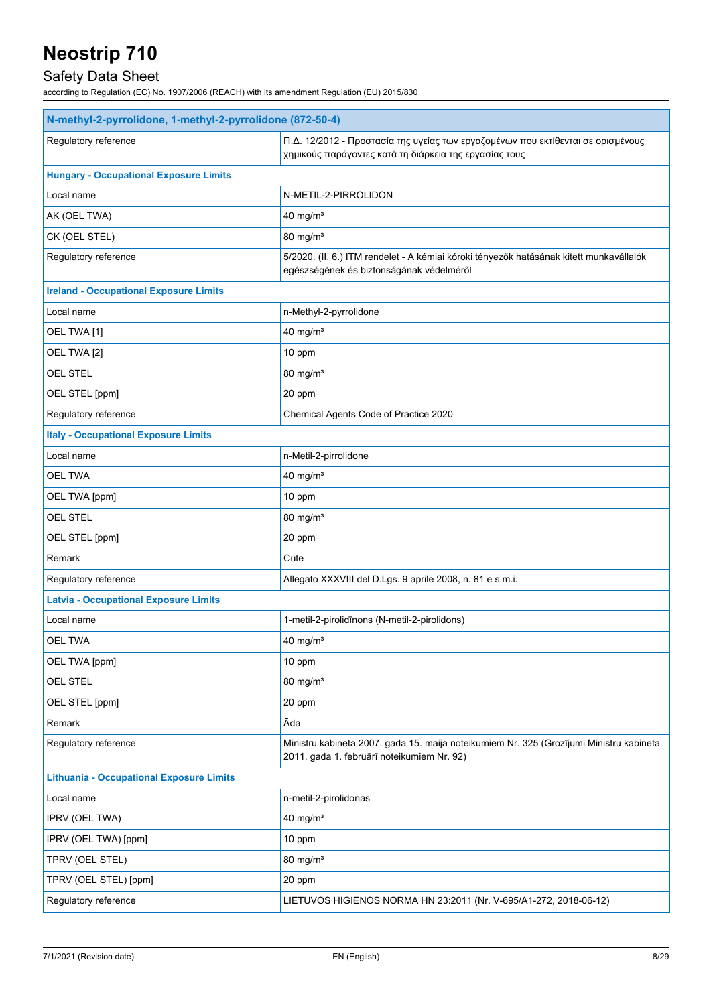## Safety Data Sheet

| N-methyl-2-pyrrolidone, 1-methyl-2-pyrrolidone (872-50-4) |                                                                                                                                            |  |
|-----------------------------------------------------------|--------------------------------------------------------------------------------------------------------------------------------------------|--|
| Regulatory reference                                      | Π.Δ. 12/2012 - Προστασία της υγείας των εργαζομένων που εκτίθενται σε ορισμένους<br>χημικούς παράγοντες κατά τη διάρκεια της εργασίας τους |  |
| <b>Hungary - Occupational Exposure Limits</b>             |                                                                                                                                            |  |
| Local name                                                | N-METIL-2-PIRROLIDON                                                                                                                       |  |
| AK (OEL TWA)                                              | 40 mg/m <sup>3</sup>                                                                                                                       |  |
| CK (OEL STEL)                                             | 80 mg/m <sup>3</sup>                                                                                                                       |  |
| Regulatory reference                                      | 5/2020. (II. 6.) ITM rendelet - A kémiai kóroki tényezők hatásának kitett munkavállalók<br>egészségének és biztonságának védelméről        |  |
| <b>Ireland - Occupational Exposure Limits</b>             |                                                                                                                                            |  |
| Local name                                                | n-Methyl-2-pyrrolidone                                                                                                                     |  |
| OEL TWA [1]                                               | 40 mg/m <sup>3</sup>                                                                                                                       |  |
| OEL TWA [2]                                               | 10 ppm                                                                                                                                     |  |
| <b>OEL STEL</b>                                           | $80 \text{ mg/m}^3$                                                                                                                        |  |
| OEL STEL [ppm]                                            | 20 ppm                                                                                                                                     |  |
| Regulatory reference                                      | Chemical Agents Code of Practice 2020                                                                                                      |  |
| <b>Italy - Occupational Exposure Limits</b>               |                                                                                                                                            |  |
| Local name                                                | n-Metil-2-pirrolidone                                                                                                                      |  |
| <b>OEL TWA</b>                                            | 40 mg/m <sup>3</sup>                                                                                                                       |  |
| OEL TWA [ppm]                                             | 10 ppm                                                                                                                                     |  |
| <b>OEL STEL</b>                                           | 80 mg/m <sup>3</sup>                                                                                                                       |  |
| OEL STEL [ppm]                                            | 20 ppm                                                                                                                                     |  |
| Remark                                                    | Cute                                                                                                                                       |  |
| Regulatory reference                                      | Allegato XXXVIII del D.Lgs. 9 aprile 2008, n. 81 e s.m.i.                                                                                  |  |
| <b>Latvia - Occupational Exposure Limits</b>              |                                                                                                                                            |  |
| Local name                                                | 1-metil-2-pirolidīnons (N-metil-2-pirolidons)                                                                                              |  |
| <b>OEL TWA</b>                                            | 40 mg/ $m3$                                                                                                                                |  |
| OEL TWA [ppm]                                             | 10 ppm                                                                                                                                     |  |
| <b>OEL STEL</b>                                           | $80$ mg/m <sup>3</sup>                                                                                                                     |  |
| OEL STEL [ppm]                                            | 20 ppm                                                                                                                                     |  |
| Remark                                                    | Āda                                                                                                                                        |  |
| Regulatory reference                                      | Ministru kabineta 2007. gada 15. maija noteikumiem Nr. 325 (Grozījumi Ministru kabineta<br>2011. gada 1. februārī noteikumiem Nr. 92)      |  |
| <b>Lithuania - Occupational Exposure Limits</b>           |                                                                                                                                            |  |
| Local name                                                | n-metil-2-pirolidonas                                                                                                                      |  |
| IPRV (OEL TWA)                                            | $40$ mg/m <sup>3</sup>                                                                                                                     |  |
| IPRV (OEL TWA) [ppm]                                      | 10 ppm                                                                                                                                     |  |
| TPRV (OEL STEL)                                           | 80 mg/m <sup>3</sup>                                                                                                                       |  |
| TPRV (OEL STEL) [ppm]                                     | 20 ppm                                                                                                                                     |  |
| Regulatory reference                                      | LIETUVOS HIGIENOS NORMA HN 23:2011 (Nr. V-695/A1-272, 2018-06-12)                                                                          |  |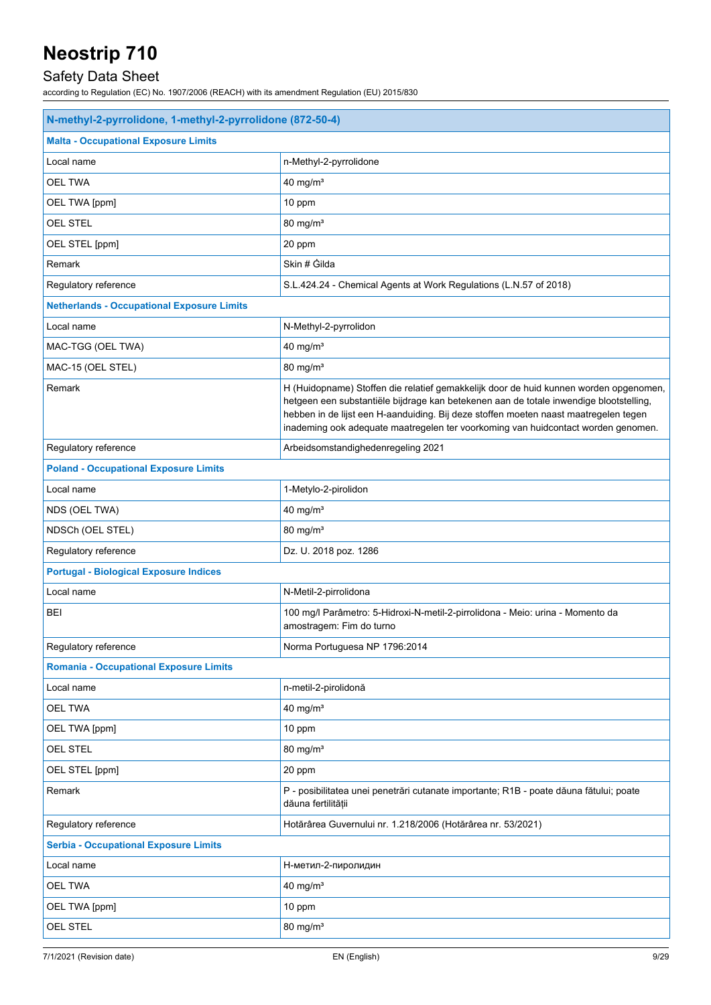## Safety Data Sheet

| <b>Malta - Occupational Exposure Limits</b><br>Local name<br>n-Methyl-2-pyrrolidone<br>OEL TWA<br>$40$ mg/m <sup>3</sup><br>OEL TWA [ppm]<br>10 ppm<br><b>OEL STEL</b><br>80 mg/m <sup>3</sup><br>OEL STEL [ppm]<br>20 ppm<br>Skin # Gilda<br>Remark<br>S.L.424.24 - Chemical Agents at Work Regulations (L.N.57 of 2018)<br>Regulatory reference<br><b>Netherlands - Occupational Exposure Limits</b><br>N-Methyl-2-pyrrolidon<br>Local name<br>MAC-TGG (OEL TWA)<br>$40$ mg/m <sup>3</sup><br>MAC-15 (OEL STEL)<br>80 mg/m <sup>3</sup><br>Remark<br>H (Huidopname) Stoffen die relatief gemakkelijk door de huid kunnen worden opgenomen,<br>hetgeen een substantiële bijdrage kan betekenen aan de totale inwendige blootstelling,<br>hebben in de lijst een H-aanduiding. Bij deze stoffen moeten naast maatregelen tegen<br>inademing ook adequate maatregelen ter voorkoming van huidcontact worden genomen.<br>Regulatory reference<br>Arbeidsomstandighedenregeling 2021<br><b>Poland - Occupational Exposure Limits</b><br>Local name<br>1-Metylo-2-pirolidon<br>40 mg/m <sup>3</sup><br>NDS (OEL TWA)<br>NDSCh (OEL STEL)<br>$80 \text{ mg/m}^3$<br>Regulatory reference<br>Dz. U. 2018 poz. 1286<br><b>Portugal - Biological Exposure Indices</b><br>Local name<br>N-Metil-2-pirrolidona<br>BEI<br>100 mg/l Parâmetro: 5-Hidroxi-N-metil-2-pirrolidona - Meio: urina - Momento da<br>amostragem: Fim do turno<br>Regulatory reference<br>Norma Portuguesa NP 1796:2014<br><b>Romania - Occupational Exposure Limits</b><br>Local name<br>n-metil-2-pirolidonă<br><b>OEL TWA</b><br>40 mg/ $m3$<br>OEL TWA [ppm]<br>10 ppm<br>80 mg/m <sup>3</sup><br>OEL STEL<br>OEL STEL [ppm]<br>20 ppm<br>Remark<br>P - posibilitatea unei penetrări cutanate importante; R1B - poate dăuna fătului; poate<br>dăuna fertilității<br>Regulatory reference<br>Hotărârea Guvernului nr. 1.218/2006 (Hotărârea nr. 53/2021)<br><b>Serbia - Occupational Exposure Limits</b><br>Local name<br>Н-метил-2-пиролидин<br>40 mg/ $m3$<br><b>OEL TWA</b><br>OEL TWA [ppm]<br>10 ppm<br>OEL STEL<br>$80$ mg/m <sup>3</sup> | N-methyl-2-pyrrolidone, 1-methyl-2-pyrrolidone (872-50-4) |  |  |
|---------------------------------------------------------------------------------------------------------------------------------------------------------------------------------------------------------------------------------------------------------------------------------------------------------------------------------------------------------------------------------------------------------------------------------------------------------------------------------------------------------------------------------------------------------------------------------------------------------------------------------------------------------------------------------------------------------------------------------------------------------------------------------------------------------------------------------------------------------------------------------------------------------------------------------------------------------------------------------------------------------------------------------------------------------------------------------------------------------------------------------------------------------------------------------------------------------------------------------------------------------------------------------------------------------------------------------------------------------------------------------------------------------------------------------------------------------------------------------------------------------------------------------------------------------------------------------------------------------------------------------------------------------------------------------------------------------------------------------------------------------------------------------------------------------------------------------------------------------------------------------------------------------------------------------------------------------------------------------------------------------------------------------------------------------------------------------------------------------------|-----------------------------------------------------------|--|--|
|                                                                                                                                                                                                                                                                                                                                                                                                                                                                                                                                                                                                                                                                                                                                                                                                                                                                                                                                                                                                                                                                                                                                                                                                                                                                                                                                                                                                                                                                                                                                                                                                                                                                                                                                                                                                                                                                                                                                                                                                                                                                                                               |                                                           |  |  |
|                                                                                                                                                                                                                                                                                                                                                                                                                                                                                                                                                                                                                                                                                                                                                                                                                                                                                                                                                                                                                                                                                                                                                                                                                                                                                                                                                                                                                                                                                                                                                                                                                                                                                                                                                                                                                                                                                                                                                                                                                                                                                                               |                                                           |  |  |
|                                                                                                                                                                                                                                                                                                                                                                                                                                                                                                                                                                                                                                                                                                                                                                                                                                                                                                                                                                                                                                                                                                                                                                                                                                                                                                                                                                                                                                                                                                                                                                                                                                                                                                                                                                                                                                                                                                                                                                                                                                                                                                               |                                                           |  |  |
|                                                                                                                                                                                                                                                                                                                                                                                                                                                                                                                                                                                                                                                                                                                                                                                                                                                                                                                                                                                                                                                                                                                                                                                                                                                                                                                                                                                                                                                                                                                                                                                                                                                                                                                                                                                                                                                                                                                                                                                                                                                                                                               |                                                           |  |  |
|                                                                                                                                                                                                                                                                                                                                                                                                                                                                                                                                                                                                                                                                                                                                                                                                                                                                                                                                                                                                                                                                                                                                                                                                                                                                                                                                                                                                                                                                                                                                                                                                                                                                                                                                                                                                                                                                                                                                                                                                                                                                                                               |                                                           |  |  |
|                                                                                                                                                                                                                                                                                                                                                                                                                                                                                                                                                                                                                                                                                                                                                                                                                                                                                                                                                                                                                                                                                                                                                                                                                                                                                                                                                                                                                                                                                                                                                                                                                                                                                                                                                                                                                                                                                                                                                                                                                                                                                                               |                                                           |  |  |
|                                                                                                                                                                                                                                                                                                                                                                                                                                                                                                                                                                                                                                                                                                                                                                                                                                                                                                                                                                                                                                                                                                                                                                                                                                                                                                                                                                                                                                                                                                                                                                                                                                                                                                                                                                                                                                                                                                                                                                                                                                                                                                               |                                                           |  |  |
|                                                                                                                                                                                                                                                                                                                                                                                                                                                                                                                                                                                                                                                                                                                                                                                                                                                                                                                                                                                                                                                                                                                                                                                                                                                                                                                                                                                                                                                                                                                                                                                                                                                                                                                                                                                                                                                                                                                                                                                                                                                                                                               |                                                           |  |  |
|                                                                                                                                                                                                                                                                                                                                                                                                                                                                                                                                                                                                                                                                                                                                                                                                                                                                                                                                                                                                                                                                                                                                                                                                                                                                                                                                                                                                                                                                                                                                                                                                                                                                                                                                                                                                                                                                                                                                                                                                                                                                                                               |                                                           |  |  |
|                                                                                                                                                                                                                                                                                                                                                                                                                                                                                                                                                                                                                                                                                                                                                                                                                                                                                                                                                                                                                                                                                                                                                                                                                                                                                                                                                                                                                                                                                                                                                                                                                                                                                                                                                                                                                                                                                                                                                                                                                                                                                                               |                                                           |  |  |
|                                                                                                                                                                                                                                                                                                                                                                                                                                                                                                                                                                                                                                                                                                                                                                                                                                                                                                                                                                                                                                                                                                                                                                                                                                                                                                                                                                                                                                                                                                                                                                                                                                                                                                                                                                                                                                                                                                                                                                                                                                                                                                               |                                                           |  |  |
|                                                                                                                                                                                                                                                                                                                                                                                                                                                                                                                                                                                                                                                                                                                                                                                                                                                                                                                                                                                                                                                                                                                                                                                                                                                                                                                                                                                                                                                                                                                                                                                                                                                                                                                                                                                                                                                                                                                                                                                                                                                                                                               |                                                           |  |  |
|                                                                                                                                                                                                                                                                                                                                                                                                                                                                                                                                                                                                                                                                                                                                                                                                                                                                                                                                                                                                                                                                                                                                                                                                                                                                                                                                                                                                                                                                                                                                                                                                                                                                                                                                                                                                                                                                                                                                                                                                                                                                                                               |                                                           |  |  |
|                                                                                                                                                                                                                                                                                                                                                                                                                                                                                                                                                                                                                                                                                                                                                                                                                                                                                                                                                                                                                                                                                                                                                                                                                                                                                                                                                                                                                                                                                                                                                                                                                                                                                                                                                                                                                                                                                                                                                                                                                                                                                                               |                                                           |  |  |
|                                                                                                                                                                                                                                                                                                                                                                                                                                                                                                                                                                                                                                                                                                                                                                                                                                                                                                                                                                                                                                                                                                                                                                                                                                                                                                                                                                                                                                                                                                                                                                                                                                                                                                                                                                                                                                                                                                                                                                                                                                                                                                               |                                                           |  |  |
|                                                                                                                                                                                                                                                                                                                                                                                                                                                                                                                                                                                                                                                                                                                                                                                                                                                                                                                                                                                                                                                                                                                                                                                                                                                                                                                                                                                                                                                                                                                                                                                                                                                                                                                                                                                                                                                                                                                                                                                                                                                                                                               |                                                           |  |  |
|                                                                                                                                                                                                                                                                                                                                                                                                                                                                                                                                                                                                                                                                                                                                                                                                                                                                                                                                                                                                                                                                                                                                                                                                                                                                                                                                                                                                                                                                                                                                                                                                                                                                                                                                                                                                                                                                                                                                                                                                                                                                                                               |                                                           |  |  |
|                                                                                                                                                                                                                                                                                                                                                                                                                                                                                                                                                                                                                                                                                                                                                                                                                                                                                                                                                                                                                                                                                                                                                                                                                                                                                                                                                                                                                                                                                                                                                                                                                                                                                                                                                                                                                                                                                                                                                                                                                                                                                                               |                                                           |  |  |
|                                                                                                                                                                                                                                                                                                                                                                                                                                                                                                                                                                                                                                                                                                                                                                                                                                                                                                                                                                                                                                                                                                                                                                                                                                                                                                                                                                                                                                                                                                                                                                                                                                                                                                                                                                                                                                                                                                                                                                                                                                                                                                               |                                                           |  |  |
|                                                                                                                                                                                                                                                                                                                                                                                                                                                                                                                                                                                                                                                                                                                                                                                                                                                                                                                                                                                                                                                                                                                                                                                                                                                                                                                                                                                                                                                                                                                                                                                                                                                                                                                                                                                                                                                                                                                                                                                                                                                                                                               |                                                           |  |  |
|                                                                                                                                                                                                                                                                                                                                                                                                                                                                                                                                                                                                                                                                                                                                                                                                                                                                                                                                                                                                                                                                                                                                                                                                                                                                                                                                                                                                                                                                                                                                                                                                                                                                                                                                                                                                                                                                                                                                                                                                                                                                                                               |                                                           |  |  |
|                                                                                                                                                                                                                                                                                                                                                                                                                                                                                                                                                                                                                                                                                                                                                                                                                                                                                                                                                                                                                                                                                                                                                                                                                                                                                                                                                                                                                                                                                                                                                                                                                                                                                                                                                                                                                                                                                                                                                                                                                                                                                                               |                                                           |  |  |
|                                                                                                                                                                                                                                                                                                                                                                                                                                                                                                                                                                                                                                                                                                                                                                                                                                                                                                                                                                                                                                                                                                                                                                                                                                                                                                                                                                                                                                                                                                                                                                                                                                                                                                                                                                                                                                                                                                                                                                                                                                                                                                               |                                                           |  |  |
|                                                                                                                                                                                                                                                                                                                                                                                                                                                                                                                                                                                                                                                                                                                                                                                                                                                                                                                                                                                                                                                                                                                                                                                                                                                                                                                                                                                                                                                                                                                                                                                                                                                                                                                                                                                                                                                                                                                                                                                                                                                                                                               |                                                           |  |  |
|                                                                                                                                                                                                                                                                                                                                                                                                                                                                                                                                                                                                                                                                                                                                                                                                                                                                                                                                                                                                                                                                                                                                                                                                                                                                                                                                                                                                                                                                                                                                                                                                                                                                                                                                                                                                                                                                                                                                                                                                                                                                                                               |                                                           |  |  |
|                                                                                                                                                                                                                                                                                                                                                                                                                                                                                                                                                                                                                                                                                                                                                                                                                                                                                                                                                                                                                                                                                                                                                                                                                                                                                                                                                                                                                                                                                                                                                                                                                                                                                                                                                                                                                                                                                                                                                                                                                                                                                                               |                                                           |  |  |
|                                                                                                                                                                                                                                                                                                                                                                                                                                                                                                                                                                                                                                                                                                                                                                                                                                                                                                                                                                                                                                                                                                                                                                                                                                                                                                                                                                                                                                                                                                                                                                                                                                                                                                                                                                                                                                                                                                                                                                                                                                                                                                               |                                                           |  |  |
|                                                                                                                                                                                                                                                                                                                                                                                                                                                                                                                                                                                                                                                                                                                                                                                                                                                                                                                                                                                                                                                                                                                                                                                                                                                                                                                                                                                                                                                                                                                                                                                                                                                                                                                                                                                                                                                                                                                                                                                                                                                                                                               |                                                           |  |  |
|                                                                                                                                                                                                                                                                                                                                                                                                                                                                                                                                                                                                                                                                                                                                                                                                                                                                                                                                                                                                                                                                                                                                                                                                                                                                                                                                                                                                                                                                                                                                                                                                                                                                                                                                                                                                                                                                                                                                                                                                                                                                                                               |                                                           |  |  |
|                                                                                                                                                                                                                                                                                                                                                                                                                                                                                                                                                                                                                                                                                                                                                                                                                                                                                                                                                                                                                                                                                                                                                                                                                                                                                                                                                                                                                                                                                                                                                                                                                                                                                                                                                                                                                                                                                                                                                                                                                                                                                                               |                                                           |  |  |
|                                                                                                                                                                                                                                                                                                                                                                                                                                                                                                                                                                                                                                                                                                                                                                                                                                                                                                                                                                                                                                                                                                                                                                                                                                                                                                                                                                                                                                                                                                                                                                                                                                                                                                                                                                                                                                                                                                                                                                                                                                                                                                               |                                                           |  |  |
|                                                                                                                                                                                                                                                                                                                                                                                                                                                                                                                                                                                                                                                                                                                                                                                                                                                                                                                                                                                                                                                                                                                                                                                                                                                                                                                                                                                                                                                                                                                                                                                                                                                                                                                                                                                                                                                                                                                                                                                                                                                                                                               |                                                           |  |  |
|                                                                                                                                                                                                                                                                                                                                                                                                                                                                                                                                                                                                                                                                                                                                                                                                                                                                                                                                                                                                                                                                                                                                                                                                                                                                                                                                                                                                                                                                                                                                                                                                                                                                                                                                                                                                                                                                                                                                                                                                                                                                                                               |                                                           |  |  |
|                                                                                                                                                                                                                                                                                                                                                                                                                                                                                                                                                                                                                                                                                                                                                                                                                                                                                                                                                                                                                                                                                                                                                                                                                                                                                                                                                                                                                                                                                                                                                                                                                                                                                                                                                                                                                                                                                                                                                                                                                                                                                                               |                                                           |  |  |
|                                                                                                                                                                                                                                                                                                                                                                                                                                                                                                                                                                                                                                                                                                                                                                                                                                                                                                                                                                                                                                                                                                                                                                                                                                                                                                                                                                                                                                                                                                                                                                                                                                                                                                                                                                                                                                                                                                                                                                                                                                                                                                               |                                                           |  |  |
|                                                                                                                                                                                                                                                                                                                                                                                                                                                                                                                                                                                                                                                                                                                                                                                                                                                                                                                                                                                                                                                                                                                                                                                                                                                                                                                                                                                                                                                                                                                                                                                                                                                                                                                                                                                                                                                                                                                                                                                                                                                                                                               |                                                           |  |  |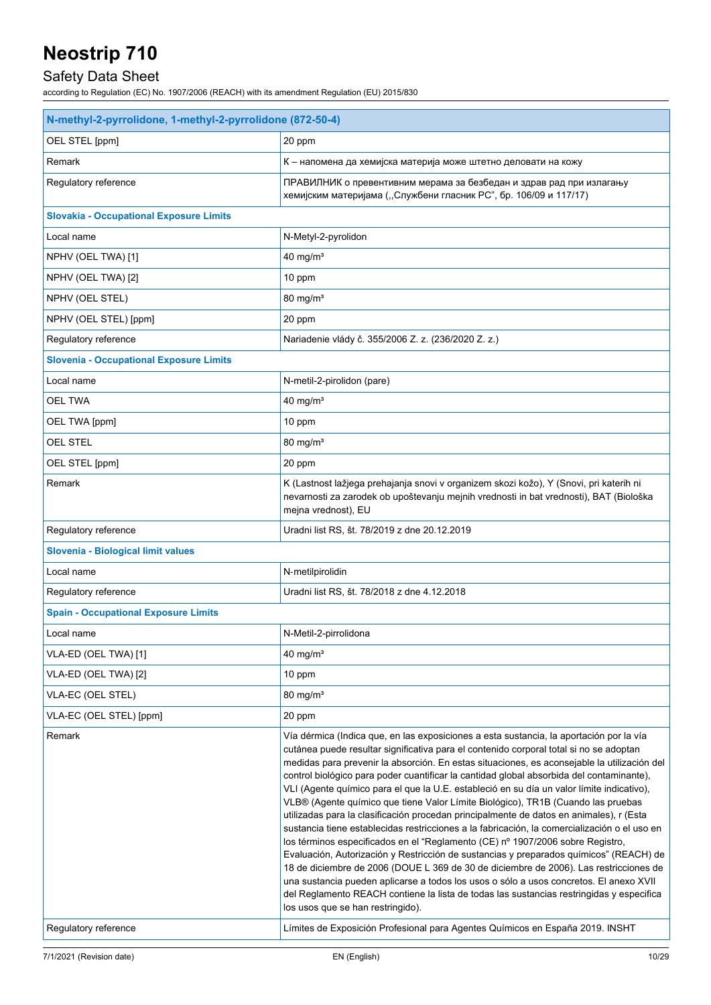## Safety Data Sheet

| N-methyl-2-pyrrolidone, 1-methyl-2-pyrrolidone (872-50-4) |                                                                                                                                                                                                                                                                                                                                                                                                                                                                                                                                                                                                                                                                                                                                                                                                                                                                                                                                                                                                                                                                                                                                                                                                                                                          |  |
|-----------------------------------------------------------|----------------------------------------------------------------------------------------------------------------------------------------------------------------------------------------------------------------------------------------------------------------------------------------------------------------------------------------------------------------------------------------------------------------------------------------------------------------------------------------------------------------------------------------------------------------------------------------------------------------------------------------------------------------------------------------------------------------------------------------------------------------------------------------------------------------------------------------------------------------------------------------------------------------------------------------------------------------------------------------------------------------------------------------------------------------------------------------------------------------------------------------------------------------------------------------------------------------------------------------------------------|--|
| OEL STEL [ppm]                                            | 20 ppm                                                                                                                                                                                                                                                                                                                                                                                                                                                                                                                                                                                                                                                                                                                                                                                                                                                                                                                                                                                                                                                                                                                                                                                                                                                   |  |
| Remark                                                    | К - напомена да хемијска материја може штетно деловати на кожу                                                                                                                                                                                                                                                                                                                                                                                                                                                                                                                                                                                                                                                                                                                                                                                                                                                                                                                                                                                                                                                                                                                                                                                           |  |
| Regulatory reference                                      | ПРАВИЛНИК о превентивним мерама за безбедан и здрав рад при излагању<br>хемијским материјама ("Службени гласник РС", бр. 106/09 и 117/17)                                                                                                                                                                                                                                                                                                                                                                                                                                                                                                                                                                                                                                                                                                                                                                                                                                                                                                                                                                                                                                                                                                                |  |
| <b>Slovakia - Occupational Exposure Limits</b>            |                                                                                                                                                                                                                                                                                                                                                                                                                                                                                                                                                                                                                                                                                                                                                                                                                                                                                                                                                                                                                                                                                                                                                                                                                                                          |  |
| Local name                                                | N-Metyl-2-pyrolidon                                                                                                                                                                                                                                                                                                                                                                                                                                                                                                                                                                                                                                                                                                                                                                                                                                                                                                                                                                                                                                                                                                                                                                                                                                      |  |
| NPHV (OEL TWA) [1]                                        | 40 mg/ $m3$                                                                                                                                                                                                                                                                                                                                                                                                                                                                                                                                                                                                                                                                                                                                                                                                                                                                                                                                                                                                                                                                                                                                                                                                                                              |  |
| NPHV (OEL TWA) [2]                                        | 10 ppm                                                                                                                                                                                                                                                                                                                                                                                                                                                                                                                                                                                                                                                                                                                                                                                                                                                                                                                                                                                                                                                                                                                                                                                                                                                   |  |
| NPHV (OEL STEL)                                           | $80 \text{ mg/m}^3$                                                                                                                                                                                                                                                                                                                                                                                                                                                                                                                                                                                                                                                                                                                                                                                                                                                                                                                                                                                                                                                                                                                                                                                                                                      |  |
| NPHV (OEL STEL) [ppm]                                     | 20 ppm                                                                                                                                                                                                                                                                                                                                                                                                                                                                                                                                                                                                                                                                                                                                                                                                                                                                                                                                                                                                                                                                                                                                                                                                                                                   |  |
| Regulatory reference                                      | Nariadenie vlády č. 355/2006 Z. z. (236/2020 Z. z.)                                                                                                                                                                                                                                                                                                                                                                                                                                                                                                                                                                                                                                                                                                                                                                                                                                                                                                                                                                                                                                                                                                                                                                                                      |  |
| <b>Slovenia - Occupational Exposure Limits</b>            |                                                                                                                                                                                                                                                                                                                                                                                                                                                                                                                                                                                                                                                                                                                                                                                                                                                                                                                                                                                                                                                                                                                                                                                                                                                          |  |
| Local name                                                | N-metil-2-pirolidon (pare)                                                                                                                                                                                                                                                                                                                                                                                                                                                                                                                                                                                                                                                                                                                                                                                                                                                                                                                                                                                                                                                                                                                                                                                                                               |  |
| <b>OEL TWA</b>                                            | 40 mg/ $m3$                                                                                                                                                                                                                                                                                                                                                                                                                                                                                                                                                                                                                                                                                                                                                                                                                                                                                                                                                                                                                                                                                                                                                                                                                                              |  |
| OEL TWA [ppm]                                             | 10 ppm                                                                                                                                                                                                                                                                                                                                                                                                                                                                                                                                                                                                                                                                                                                                                                                                                                                                                                                                                                                                                                                                                                                                                                                                                                                   |  |
| <b>OEL STEL</b>                                           | $80 \text{ mg/m}^3$                                                                                                                                                                                                                                                                                                                                                                                                                                                                                                                                                                                                                                                                                                                                                                                                                                                                                                                                                                                                                                                                                                                                                                                                                                      |  |
| OEL STEL [ppm]                                            | 20 ppm                                                                                                                                                                                                                                                                                                                                                                                                                                                                                                                                                                                                                                                                                                                                                                                                                                                                                                                                                                                                                                                                                                                                                                                                                                                   |  |
| Remark                                                    | K (Lastnost lažjega prehajanja snovi v organizem skozi kožo), Y (Snovi, pri katerih ni<br>nevarnosti za zarodek ob upoštevanju mejnih vrednosti in bat vrednosti), BAT (Biološka<br>mejna vrednost), EU                                                                                                                                                                                                                                                                                                                                                                                                                                                                                                                                                                                                                                                                                                                                                                                                                                                                                                                                                                                                                                                  |  |
| Regulatory reference                                      | Uradni list RS, št. 78/2019 z dne 20.12.2019                                                                                                                                                                                                                                                                                                                                                                                                                                                                                                                                                                                                                                                                                                                                                                                                                                                                                                                                                                                                                                                                                                                                                                                                             |  |
| Slovenia - Biological limit values                        |                                                                                                                                                                                                                                                                                                                                                                                                                                                                                                                                                                                                                                                                                                                                                                                                                                                                                                                                                                                                                                                                                                                                                                                                                                                          |  |
| Local name                                                | N-metilpirolidin                                                                                                                                                                                                                                                                                                                                                                                                                                                                                                                                                                                                                                                                                                                                                                                                                                                                                                                                                                                                                                                                                                                                                                                                                                         |  |
| Regulatory reference                                      | Uradni list RS, št. 78/2018 z dne 4.12.2018                                                                                                                                                                                                                                                                                                                                                                                                                                                                                                                                                                                                                                                                                                                                                                                                                                                                                                                                                                                                                                                                                                                                                                                                              |  |
| <b>Spain - Occupational Exposure Limits</b>               |                                                                                                                                                                                                                                                                                                                                                                                                                                                                                                                                                                                                                                                                                                                                                                                                                                                                                                                                                                                                                                                                                                                                                                                                                                                          |  |
| Local name                                                | N-Metil-2-pirrolidona                                                                                                                                                                                                                                                                                                                                                                                                                                                                                                                                                                                                                                                                                                                                                                                                                                                                                                                                                                                                                                                                                                                                                                                                                                    |  |
| VLA-ED (OEL TWA) [1]                                      | 40 mg/ $m3$                                                                                                                                                                                                                                                                                                                                                                                                                                                                                                                                                                                                                                                                                                                                                                                                                                                                                                                                                                                                                                                                                                                                                                                                                                              |  |
| VLA-ED (OEL TWA) [2]                                      | 10 ppm                                                                                                                                                                                                                                                                                                                                                                                                                                                                                                                                                                                                                                                                                                                                                                                                                                                                                                                                                                                                                                                                                                                                                                                                                                                   |  |
| VLA-EC (OEL STEL)                                         | $80 \text{ mg/m}^3$                                                                                                                                                                                                                                                                                                                                                                                                                                                                                                                                                                                                                                                                                                                                                                                                                                                                                                                                                                                                                                                                                                                                                                                                                                      |  |
| VLA-EC (OEL STEL) [ppm]                                   | 20 ppm                                                                                                                                                                                                                                                                                                                                                                                                                                                                                                                                                                                                                                                                                                                                                                                                                                                                                                                                                                                                                                                                                                                                                                                                                                                   |  |
| Remark                                                    | Vía dérmica (Indica que, en las exposiciones a esta sustancia, la aportación por la vía<br>cutánea puede resultar significativa para el contenido corporal total si no se adoptan<br>medidas para prevenir la absorción. En estas situaciones, es aconsejable la utilización del<br>control biológico para poder cuantificar la cantidad global absorbida del contaminante),<br>VLI (Agente químico para el que la U.E. estableció en su día un valor límite indicativo),<br>VLB® (Agente químico que tiene Valor Límite Biológico), TR1B (Cuando las pruebas<br>utilizadas para la clasificación procedan principalmente de datos en animales), r (Esta<br>sustancia tiene establecidas restricciones a la fabricación, la comercialización o el uso en<br>los términos especificados en el "Reglamento (CE) nº 1907/2006 sobre Registro,<br>Evaluación, Autorización y Restricción de sustancias y preparados químicos" (REACH) de<br>18 de diciembre de 2006 (DOUE L 369 de 30 de diciembre de 2006). Las restricciones de<br>una sustancia pueden aplicarse a todos los usos o sólo a usos concretos. El anexo XVII<br>del Reglamento REACH contiene la lista de todas las sustancias restringidas y especifica<br>los usos que se han restringido). |  |
| Regulatory reference                                      | Límites de Exposición Profesional para Agentes Químicos en España 2019. INSHT                                                                                                                                                                                                                                                                                                                                                                                                                                                                                                                                                                                                                                                                                                                                                                                                                                                                                                                                                                                                                                                                                                                                                                            |  |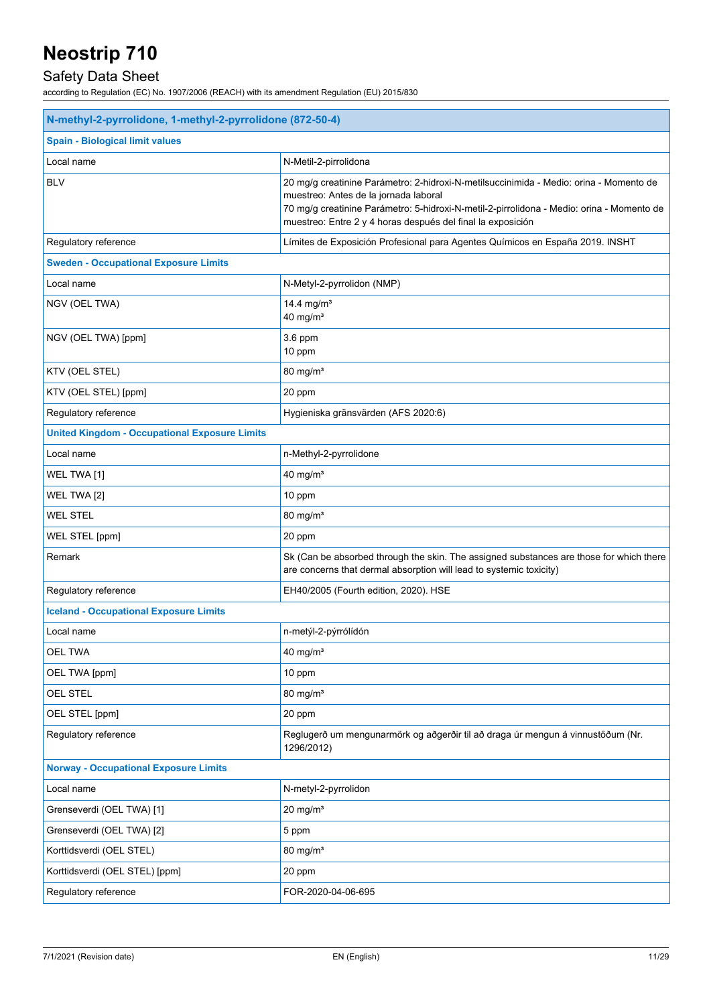## Safety Data Sheet

| N-methyl-2-pyrrolidone, 1-methyl-2-pyrrolidone (872-50-4) |                                                                                                                                                                                                                                                                                             |  |
|-----------------------------------------------------------|---------------------------------------------------------------------------------------------------------------------------------------------------------------------------------------------------------------------------------------------------------------------------------------------|--|
| <b>Spain - Biological limit values</b>                    |                                                                                                                                                                                                                                                                                             |  |
| Local name                                                | N-Metil-2-pirrolidona                                                                                                                                                                                                                                                                       |  |
| <b>BLV</b>                                                | 20 mg/g creatinine Parámetro: 2-hidroxi-N-metilsuccinimida - Medio: orina - Momento de<br>muestreo: Antes de la jornada laboral<br>70 mg/g creatinine Parámetro: 5-hidroxi-N-metil-2-pirrolidona - Medio: orina - Momento de<br>muestreo: Entre 2 y 4 horas después del final la exposición |  |
| Regulatory reference                                      | Límites de Exposición Profesional para Agentes Químicos en España 2019. INSHT                                                                                                                                                                                                               |  |
| <b>Sweden - Occupational Exposure Limits</b>              |                                                                                                                                                                                                                                                                                             |  |
| Local name                                                | N-Metyl-2-pyrrolidon (NMP)                                                                                                                                                                                                                                                                  |  |
| NGV (OEL TWA)                                             | 14.4 mg/m <sup>3</sup><br>40 mg/ $m3$                                                                                                                                                                                                                                                       |  |
| NGV (OEL TWA) [ppm]                                       | 3.6 ppm<br>10 ppm                                                                                                                                                                                                                                                                           |  |
| KTV (OEL STEL)                                            | 80 mg/m <sup>3</sup>                                                                                                                                                                                                                                                                        |  |
| KTV (OEL STEL) [ppm]                                      | 20 ppm                                                                                                                                                                                                                                                                                      |  |
| Regulatory reference                                      | Hygieniska gränsvärden (AFS 2020:6)                                                                                                                                                                                                                                                         |  |
| <b>United Kingdom - Occupational Exposure Limits</b>      |                                                                                                                                                                                                                                                                                             |  |
| Local name                                                | n-Methyl-2-pyrrolidone                                                                                                                                                                                                                                                                      |  |
| WEL TWA [1]                                               | $40$ mg/m <sup>3</sup>                                                                                                                                                                                                                                                                      |  |
| WEL TWA [2]                                               | 10 ppm                                                                                                                                                                                                                                                                                      |  |
| <b>WEL STEL</b>                                           | 80 mg/m <sup>3</sup>                                                                                                                                                                                                                                                                        |  |
| WEL STEL [ppm]                                            | 20 ppm                                                                                                                                                                                                                                                                                      |  |
| Remark                                                    | Sk (Can be absorbed through the skin. The assigned substances are those for which there<br>are concerns that dermal absorption will lead to systemic toxicity)                                                                                                                              |  |
| Regulatory reference                                      | EH40/2005 (Fourth edition, 2020). HSE                                                                                                                                                                                                                                                       |  |
| <b>Iceland - Occupational Exposure Limits</b>             |                                                                                                                                                                                                                                                                                             |  |
| Local name                                                | n-metýl-2-pýrrólídón                                                                                                                                                                                                                                                                        |  |
| <b>OEL TWA</b>                                            | 40 mg/ $m3$                                                                                                                                                                                                                                                                                 |  |
| OEL TWA [ppm]                                             | 10 ppm                                                                                                                                                                                                                                                                                      |  |
| OEL STEL                                                  | $80 \text{ mg/m}^3$                                                                                                                                                                                                                                                                         |  |
| OEL STEL [ppm]                                            | 20 ppm                                                                                                                                                                                                                                                                                      |  |
| Regulatory reference                                      | Reglugerð um mengunarmörk og aðgerðir til að draga úr mengun á vinnustöðum (Nr.<br>1296/2012)                                                                                                                                                                                               |  |
| <b>Norway - Occupational Exposure Limits</b>              |                                                                                                                                                                                                                                                                                             |  |
| Local name                                                | N-metyl-2-pyrrolidon                                                                                                                                                                                                                                                                        |  |
| Grenseverdi (OEL TWA) [1]                                 | $20 \text{ mg/m}^3$                                                                                                                                                                                                                                                                         |  |
| Grenseverdi (OEL TWA) [2]                                 | 5 ppm                                                                                                                                                                                                                                                                                       |  |
| Korttidsverdi (OEL STEL)                                  | $80 \text{ mg/m}^3$                                                                                                                                                                                                                                                                         |  |
| Korttidsverdi (OEL STEL) [ppm]                            | 20 ppm                                                                                                                                                                                                                                                                                      |  |
| Regulatory reference                                      | FOR-2020-04-06-695                                                                                                                                                                                                                                                                          |  |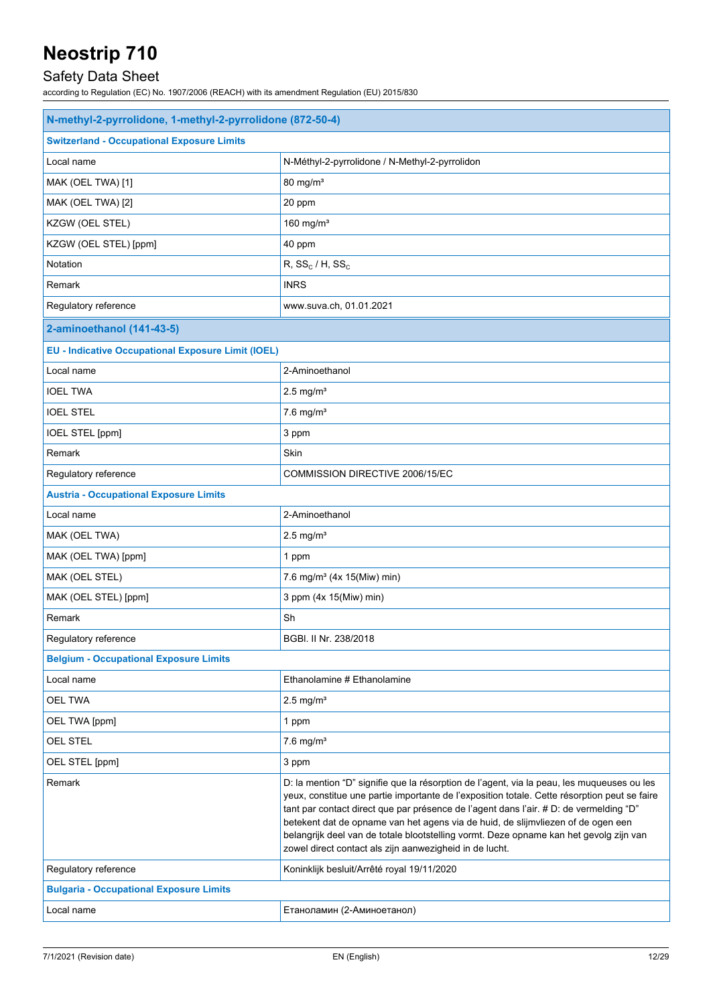## Safety Data Sheet

| N-methyl-2-pyrrolidone, 1-methyl-2-pyrrolidone (872-50-4) |                                                                                                                                                                                                                                                                                                                                                                                                                                                                                                                               |  |
|-----------------------------------------------------------|-------------------------------------------------------------------------------------------------------------------------------------------------------------------------------------------------------------------------------------------------------------------------------------------------------------------------------------------------------------------------------------------------------------------------------------------------------------------------------------------------------------------------------|--|
| <b>Switzerland - Occupational Exposure Limits</b>         |                                                                                                                                                                                                                                                                                                                                                                                                                                                                                                                               |  |
| Local name                                                | N-Méthyl-2-pyrrolidone / N-Methyl-2-pyrrolidon                                                                                                                                                                                                                                                                                                                                                                                                                                                                                |  |
| MAK (OEL TWA) [1]                                         | $80$ mg/m <sup>3</sup>                                                                                                                                                                                                                                                                                                                                                                                                                                                                                                        |  |
| MAK (OEL TWA) [2]                                         | 20 ppm                                                                                                                                                                                                                                                                                                                                                                                                                                                                                                                        |  |
| KZGW (OEL STEL)                                           | 160 mg/ $m3$                                                                                                                                                                                                                                                                                                                                                                                                                                                                                                                  |  |
| KZGW (OEL STEL) [ppm]                                     | 40 ppm                                                                                                                                                                                                                                                                                                                                                                                                                                                                                                                        |  |
| Notation                                                  | $R, SS_c/H, SS_c$                                                                                                                                                                                                                                                                                                                                                                                                                                                                                                             |  |
| Remark                                                    | <b>INRS</b>                                                                                                                                                                                                                                                                                                                                                                                                                                                                                                                   |  |
| Regulatory reference                                      | www.suva.ch, 01.01.2021                                                                                                                                                                                                                                                                                                                                                                                                                                                                                                       |  |
| 2-aminoethanol (141-43-5)                                 |                                                                                                                                                                                                                                                                                                                                                                                                                                                                                                                               |  |
| <b>EU - Indicative Occupational Exposure Limit (IOEL)</b> |                                                                                                                                                                                                                                                                                                                                                                                                                                                                                                                               |  |
| Local name                                                | 2-Aminoethanol                                                                                                                                                                                                                                                                                                                                                                                                                                                                                                                |  |
| <b>IOEL TWA</b>                                           | $2.5$ mg/m <sup>3</sup>                                                                                                                                                                                                                                                                                                                                                                                                                                                                                                       |  |
| <b>IOEL STEL</b>                                          | $7.6$ mg/m <sup>3</sup>                                                                                                                                                                                                                                                                                                                                                                                                                                                                                                       |  |
| IOEL STEL [ppm]                                           | 3 ppm                                                                                                                                                                                                                                                                                                                                                                                                                                                                                                                         |  |
| Remark                                                    | Skin                                                                                                                                                                                                                                                                                                                                                                                                                                                                                                                          |  |
| Regulatory reference                                      | COMMISSION DIRECTIVE 2006/15/EC                                                                                                                                                                                                                                                                                                                                                                                                                                                                                               |  |
| <b>Austria - Occupational Exposure Limits</b>             |                                                                                                                                                                                                                                                                                                                                                                                                                                                                                                                               |  |
| Local name                                                | 2-Aminoethanol                                                                                                                                                                                                                                                                                                                                                                                                                                                                                                                |  |
| MAK (OEL TWA)                                             | $2.5$ mg/m <sup>3</sup>                                                                                                                                                                                                                                                                                                                                                                                                                                                                                                       |  |
| MAK (OEL TWA) [ppm]                                       | 1 ppm                                                                                                                                                                                                                                                                                                                                                                                                                                                                                                                         |  |
| MAK (OEL STEL)                                            | 7.6 mg/m <sup>3</sup> (4x 15(Miw) min)                                                                                                                                                                                                                                                                                                                                                                                                                                                                                        |  |
| MAK (OEL STEL) [ppm]                                      | 3 ppm (4x 15(Miw) min)                                                                                                                                                                                                                                                                                                                                                                                                                                                                                                        |  |
| Remark                                                    | Sh                                                                                                                                                                                                                                                                                                                                                                                                                                                                                                                            |  |
| Regulatory reference                                      | BGBI, II Nr. 238/2018                                                                                                                                                                                                                                                                                                                                                                                                                                                                                                         |  |
| <b>Belgium - Occupational Exposure Limits</b>             |                                                                                                                                                                                                                                                                                                                                                                                                                                                                                                                               |  |
| Local name                                                | Ethanolamine # Ethanolamine                                                                                                                                                                                                                                                                                                                                                                                                                                                                                                   |  |
| <b>OEL TWA</b>                                            | $2.5 \text{ mg/m}^3$                                                                                                                                                                                                                                                                                                                                                                                                                                                                                                          |  |
| OEL TWA [ppm]                                             | 1 ppm                                                                                                                                                                                                                                                                                                                                                                                                                                                                                                                         |  |
| <b>OEL STEL</b>                                           | $7.6$ mg/m <sup>3</sup>                                                                                                                                                                                                                                                                                                                                                                                                                                                                                                       |  |
| OEL STEL [ppm]                                            | 3 ppm                                                                                                                                                                                                                                                                                                                                                                                                                                                                                                                         |  |
| Remark                                                    | D: la mention "D" signifie que la résorption de l'agent, via la peau, les muqueuses ou les<br>yeux, constitue une partie importante de l'exposition totale. Cette résorption peut se faire<br>tant par contact direct que par présence de l'agent dans l'air. # D: de vermelding "D"<br>betekent dat de opname van het agens via de huid, de slijmvliezen of de ogen een<br>belangrijk deel van de totale blootstelling vormt. Deze opname kan het gevolg zijn van<br>zowel direct contact als zijn aanwezigheid in de lucht. |  |
| Regulatory reference                                      | Koninklijk besluit/Arrêté royal 19/11/2020                                                                                                                                                                                                                                                                                                                                                                                                                                                                                    |  |
| <b>Bulgaria - Occupational Exposure Limits</b>            |                                                                                                                                                                                                                                                                                                                                                                                                                                                                                                                               |  |
| Local name                                                | Етаноламин (2-Аминоетанол)                                                                                                                                                                                                                                                                                                                                                                                                                                                                                                    |  |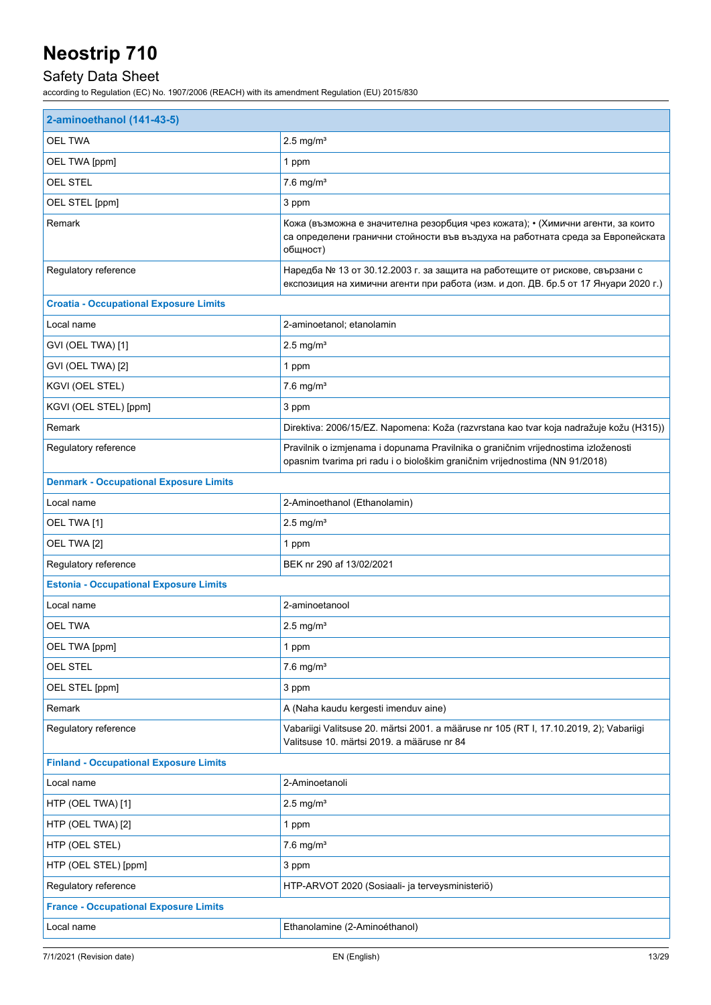## Safety Data Sheet

| 2-aminoethanol (141-43-5)                     |                                                                                                                                                                                |  |
|-----------------------------------------------|--------------------------------------------------------------------------------------------------------------------------------------------------------------------------------|--|
| <b>OEL TWA</b>                                | $2.5 \text{ mg/m}^3$                                                                                                                                                           |  |
| OEL TWA [ppm]                                 | 1 ppm                                                                                                                                                                          |  |
| <b>OEL STEL</b>                               | $7.6$ mg/m <sup>3</sup>                                                                                                                                                        |  |
| OEL STEL [ppm]                                | 3 ppm                                                                                                                                                                          |  |
| Remark                                        | Кожа (възможна е значителна резорбция чрез кожата); • (Химични агенти, за които<br>са определени гранични стойности във въздуха на работната среда за Европейската<br>общност) |  |
| Regulatory reference                          | Наредба № 13 от 30.12.2003 г. за защита на работещите от рискове, свързани с<br>експозиция на химични агенти при работа (изм. и доп. ДВ. бр.5 от 17 Януари 2020 г.)            |  |
| <b>Croatia - Occupational Exposure Limits</b> |                                                                                                                                                                                |  |
| Local name                                    | 2-aminoetanol; etanolamin                                                                                                                                                      |  |
| GVI (OEL TWA) [1]                             | $2.5$ mg/m <sup>3</sup>                                                                                                                                                        |  |
| GVI (OEL TWA) [2]                             | 1 ppm                                                                                                                                                                          |  |
| KGVI (OEL STEL)                               | $7.6$ mg/m <sup>3</sup>                                                                                                                                                        |  |
| KGVI (OEL STEL) [ppm]                         | 3 ppm                                                                                                                                                                          |  |
| Remark                                        | Direktiva: 2006/15/EZ. Napomena: Koža (razvrstana kao tvar koja nadražuje kožu (H315))                                                                                         |  |
| Regulatory reference                          | Pravilnik o izmjenama i dopunama Pravilnika o graničnim vrijednostima izloženosti<br>opasnim tvarima pri radu i o biološkim graničnim vrijednostima (NN 91/2018)               |  |
| <b>Denmark - Occupational Exposure Limits</b> |                                                                                                                                                                                |  |
| Local name                                    | 2-Aminoethanol (Ethanolamin)                                                                                                                                                   |  |
| OEL TWA [1]                                   | $2.5$ mg/m <sup>3</sup>                                                                                                                                                        |  |
| OEL TWA [2]                                   | 1 ppm                                                                                                                                                                          |  |
| Regulatory reference                          | BEK nr 290 af 13/02/2021                                                                                                                                                       |  |
| <b>Estonia - Occupational Exposure Limits</b> |                                                                                                                                                                                |  |
| Local name                                    | 2-aminoetanool                                                                                                                                                                 |  |
| OEL TWA                                       | $2.5 \text{ mg/m}^3$                                                                                                                                                           |  |
| OEL TWA [ppm]                                 | 1 ppm                                                                                                                                                                          |  |
| <b>OEL STEL</b>                               | $7.6$ mg/m <sup>3</sup>                                                                                                                                                        |  |
| OEL STEL [ppm]                                | 3 ppm                                                                                                                                                                          |  |
| Remark                                        | A (Naha kaudu kergesti imenduv aine)                                                                                                                                           |  |
| Regulatory reference                          | Vabariigi Valitsuse 20. märtsi 2001. a määruse nr 105 (RT I, 17.10.2019, 2); Vabariigi<br>Valitsuse 10. märtsi 2019. a määruse nr 84                                           |  |
| <b>Finland - Occupational Exposure Limits</b> |                                                                                                                                                                                |  |
| Local name                                    | 2-Aminoetanoli                                                                                                                                                                 |  |
| HTP (OEL TWA) [1]                             | $2.5$ mg/m <sup>3</sup>                                                                                                                                                        |  |
| HTP (OEL TWA) [2]                             | 1 ppm                                                                                                                                                                          |  |
| HTP (OEL STEL)                                | $7.6$ mg/m <sup>3</sup>                                                                                                                                                        |  |
| HTP (OEL STEL) [ppm]                          | 3 ppm                                                                                                                                                                          |  |
| Regulatory reference                          | HTP-ARVOT 2020 (Sosiaali- ja terveysministeriö)                                                                                                                                |  |
| <b>France - Occupational Exposure Limits</b>  |                                                                                                                                                                                |  |
| Local name                                    | Ethanolamine (2-Aminoéthanol)                                                                                                                                                  |  |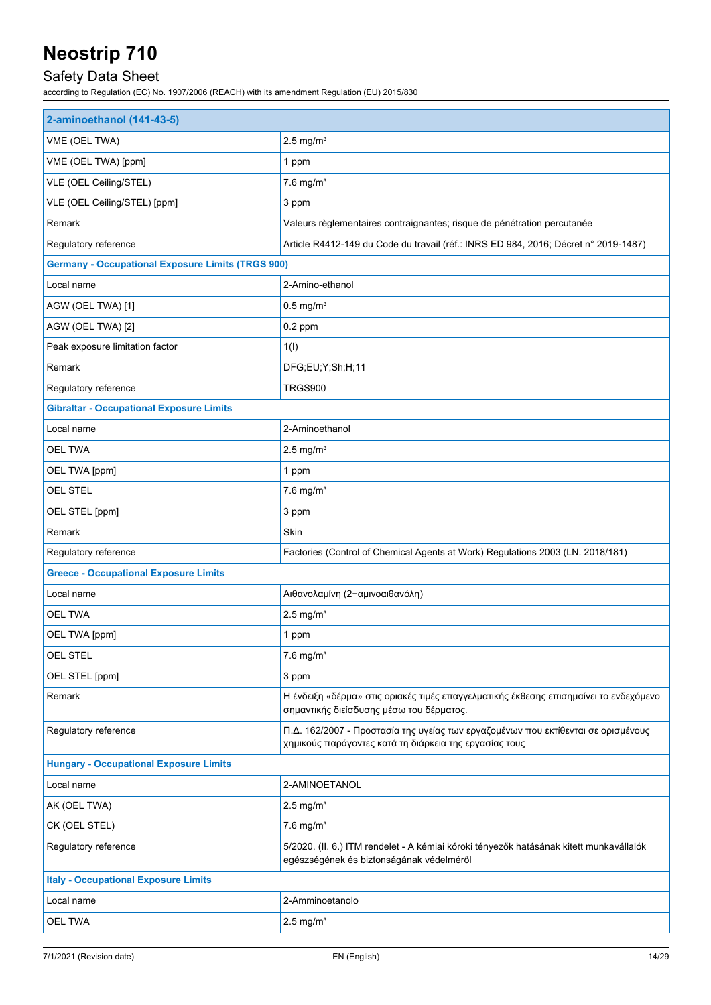## Safety Data Sheet

| 2-aminoethanol (141-43-5)                                |                                                                                                                                             |  |  |
|----------------------------------------------------------|---------------------------------------------------------------------------------------------------------------------------------------------|--|--|
| VME (OEL TWA)                                            | $2.5$ mg/m <sup>3</sup>                                                                                                                     |  |  |
| VME (OEL TWA) [ppm]                                      | 1 ppm                                                                                                                                       |  |  |
| VLE (OEL Ceiling/STEL)                                   | $7.6$ mg/m <sup>3</sup>                                                                                                                     |  |  |
| VLE (OEL Ceiling/STEL) [ppm]                             | 3 ppm                                                                                                                                       |  |  |
| Remark                                                   | Valeurs règlementaires contraignantes; risque de pénétration percutanée                                                                     |  |  |
| Regulatory reference                                     | Article R4412-149 du Code du travail (réf.: INRS ED 984, 2016; Décret n° 2019-1487)                                                         |  |  |
| <b>Germany - Occupational Exposure Limits (TRGS 900)</b> |                                                                                                                                             |  |  |
| Local name                                               | 2-Amino-ethanol                                                                                                                             |  |  |
| AGW (OEL TWA) [1]                                        | $0.5$ mg/m <sup>3</sup>                                                                                                                     |  |  |
| AGW (OEL TWA) [2]                                        | $0.2$ ppm                                                                                                                                   |  |  |
| Peak exposure limitation factor                          | 1(1)                                                                                                                                        |  |  |
| Remark                                                   | DFG;EU;Y;Sh;H;11                                                                                                                            |  |  |
| Regulatory reference                                     | TRGS900                                                                                                                                     |  |  |
| <b>Gibraltar - Occupational Exposure Limits</b>          |                                                                                                                                             |  |  |
| Local name                                               | 2-Aminoethanol                                                                                                                              |  |  |
| <b>OEL TWA</b>                                           | $2.5$ mg/m <sup>3</sup>                                                                                                                     |  |  |
| OEL TWA [ppm]                                            | 1 ppm                                                                                                                                       |  |  |
| <b>OEL STEL</b>                                          | $7.6$ mg/m <sup>3</sup>                                                                                                                     |  |  |
| OEL STEL [ppm]                                           | 3 ppm                                                                                                                                       |  |  |
| Remark                                                   | Skin                                                                                                                                        |  |  |
| Regulatory reference                                     | Factories (Control of Chemical Agents at Work) Regulations 2003 (LN. 2018/181)                                                              |  |  |
| <b>Greece - Occupational Exposure Limits</b>             |                                                                                                                                             |  |  |
| Local name                                               | Αιθανολαμίνη (2-αμινοαιθανόλη)                                                                                                              |  |  |
| <b>OEL TWA</b>                                           | $2.5$ mg/m <sup>3</sup>                                                                                                                     |  |  |
| OEL TWA [ppm]                                            | 1 ppm                                                                                                                                       |  |  |
| <b>OEL STEL</b>                                          | $7.6$ mg/m <sup>3</sup>                                                                                                                     |  |  |
| OEL STEL [ppm]                                           | 3 ppm                                                                                                                                       |  |  |
| Remark                                                   | Η ένδειξη «δέρμα» στις οριακές τιμές επαγγελματικής έκθεσης επισημαίνει το ενδεχόμενο<br>σημαντικής διείσδυσης μέσω του δέρματος.           |  |  |
| Regulatory reference                                     | Π.Δ. 162/2007 - Προστασία της υγείας των εργαζομένων που εκτίθενται σε ορισμένους<br>χημικούς παράγοντες κατά τη διάρκεια της εργασίας τους |  |  |
| <b>Hungary - Occupational Exposure Limits</b>            |                                                                                                                                             |  |  |
| Local name                                               | 2-AMINOETANOL                                                                                                                               |  |  |
| AK (OEL TWA)                                             | $2.5$ mg/m <sup>3</sup>                                                                                                                     |  |  |
| CK (OEL STEL)                                            | $7.6$ mg/m <sup>3</sup>                                                                                                                     |  |  |
| Regulatory reference                                     | 5/2020. (II. 6.) ITM rendelet - A kémiai kóroki tényezők hatásának kitett munkavállalók<br>egészségének és biztonságának védelméről         |  |  |
| <b>Italy - Occupational Exposure Limits</b>              |                                                                                                                                             |  |  |
| Local name                                               | 2-Amminoetanolo                                                                                                                             |  |  |
| <b>OEL TWA</b>                                           | $2.5$ mg/m <sup>3</sup>                                                                                                                     |  |  |
|                                                          |                                                                                                                                             |  |  |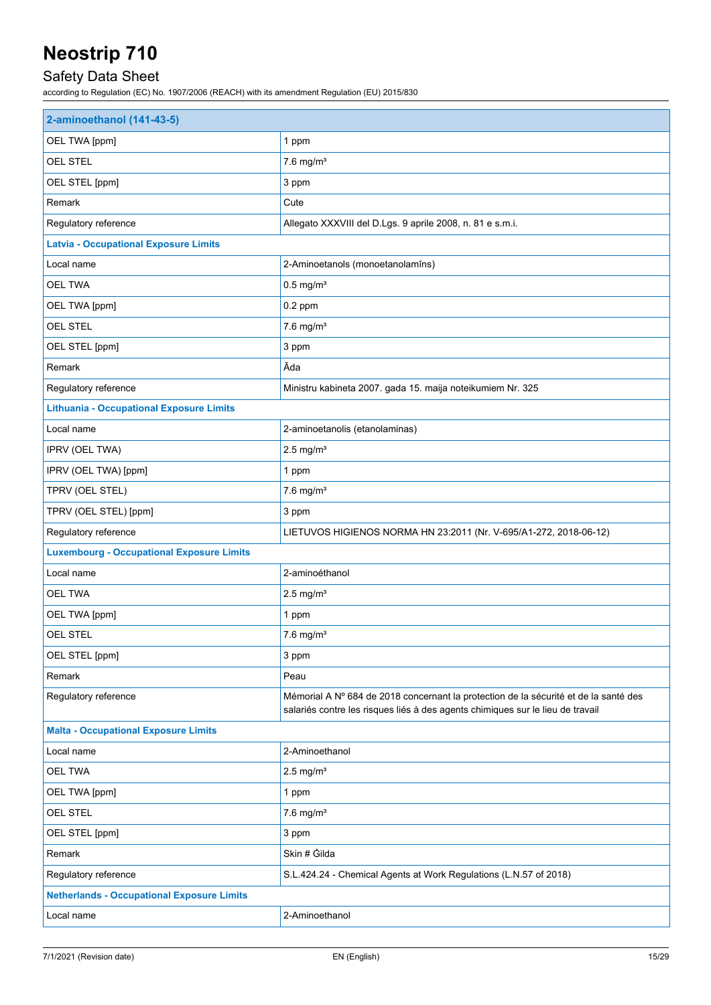## Safety Data Sheet

| 2-aminoethanol (141-43-5)                         |                                                                                                                                                                        |  |
|---------------------------------------------------|------------------------------------------------------------------------------------------------------------------------------------------------------------------------|--|
| OEL TWA [ppm]                                     | 1 ppm                                                                                                                                                                  |  |
| OEL STEL                                          | $7.6$ mg/m <sup>3</sup>                                                                                                                                                |  |
| OEL STEL [ppm]                                    | 3 ppm                                                                                                                                                                  |  |
| Remark                                            | Cute                                                                                                                                                                   |  |
| Regulatory reference                              | Allegato XXXVIII del D.Lgs. 9 aprile 2008, n. 81 e s.m.i.                                                                                                              |  |
| <b>Latvia - Occupational Exposure Limits</b>      |                                                                                                                                                                        |  |
| Local name                                        | 2-Aminoetanols (monoetanolamīns)                                                                                                                                       |  |
| <b>OEL TWA</b>                                    | $0.5$ mg/m <sup>3</sup>                                                                                                                                                |  |
| OEL TWA [ppm]                                     | $0.2$ ppm                                                                                                                                                              |  |
| OEL STEL                                          | $7.6$ mg/m <sup>3</sup>                                                                                                                                                |  |
| OEL STEL [ppm]                                    | 3 ppm                                                                                                                                                                  |  |
| Remark                                            | Āda                                                                                                                                                                    |  |
| Regulatory reference                              | Ministru kabineta 2007. gada 15. maija noteikumiem Nr. 325                                                                                                             |  |
| <b>Lithuania - Occupational Exposure Limits</b>   |                                                                                                                                                                        |  |
| Local name                                        | 2-aminoetanolis (etanolaminas)                                                                                                                                         |  |
| IPRV (OEL TWA)                                    | $2.5$ mg/m <sup>3</sup>                                                                                                                                                |  |
| IPRV (OEL TWA) [ppm]                              | 1 ppm                                                                                                                                                                  |  |
| TPRV (OEL STEL)                                   | $7.6$ mg/m <sup>3</sup>                                                                                                                                                |  |
| TPRV (OEL STEL) [ppm]                             | 3 ppm                                                                                                                                                                  |  |
| Regulatory reference                              | LIETUVOS HIGIENOS NORMA HN 23:2011 (Nr. V-695/A1-272, 2018-06-12)                                                                                                      |  |
| <b>Luxembourg - Occupational Exposure Limits</b>  |                                                                                                                                                                        |  |
| Local name                                        | 2-aminoéthanol                                                                                                                                                         |  |
| <b>OEL TWA</b>                                    | $2.5$ mg/m <sup>3</sup>                                                                                                                                                |  |
| OEL TWA [ppm]                                     | 1 ppm                                                                                                                                                                  |  |
| <b>OEL STEL</b>                                   | $7.6$ mg/m <sup>3</sup>                                                                                                                                                |  |
| OEL STEL [ppm]                                    | 3 ppm                                                                                                                                                                  |  |
| Remark                                            | Peau                                                                                                                                                                   |  |
| Regulatory reference                              | Mémorial A Nº 684 de 2018 concernant la protection de la sécurité et de la santé des<br>salariés contre les risques liés à des agents chimiques sur le lieu de travail |  |
| <b>Malta - Occupational Exposure Limits</b>       |                                                                                                                                                                        |  |
| Local name                                        | 2-Aminoethanol                                                                                                                                                         |  |
| <b>OEL TWA</b>                                    | $2.5$ mg/m <sup>3</sup>                                                                                                                                                |  |
| OEL TWA [ppm]                                     | 1 ppm                                                                                                                                                                  |  |
| OEL STEL                                          | $7.6$ mg/m <sup>3</sup>                                                                                                                                                |  |
| OEL STEL [ppm]                                    | 3 ppm                                                                                                                                                                  |  |
| Remark                                            | Skin # Gilda                                                                                                                                                           |  |
| Regulatory reference                              | S.L.424.24 - Chemical Agents at Work Regulations (L.N.57 of 2018)                                                                                                      |  |
| <b>Netherlands - Occupational Exposure Limits</b> |                                                                                                                                                                        |  |
| Local name                                        | 2-Aminoethanol                                                                                                                                                         |  |
|                                                   |                                                                                                                                                                        |  |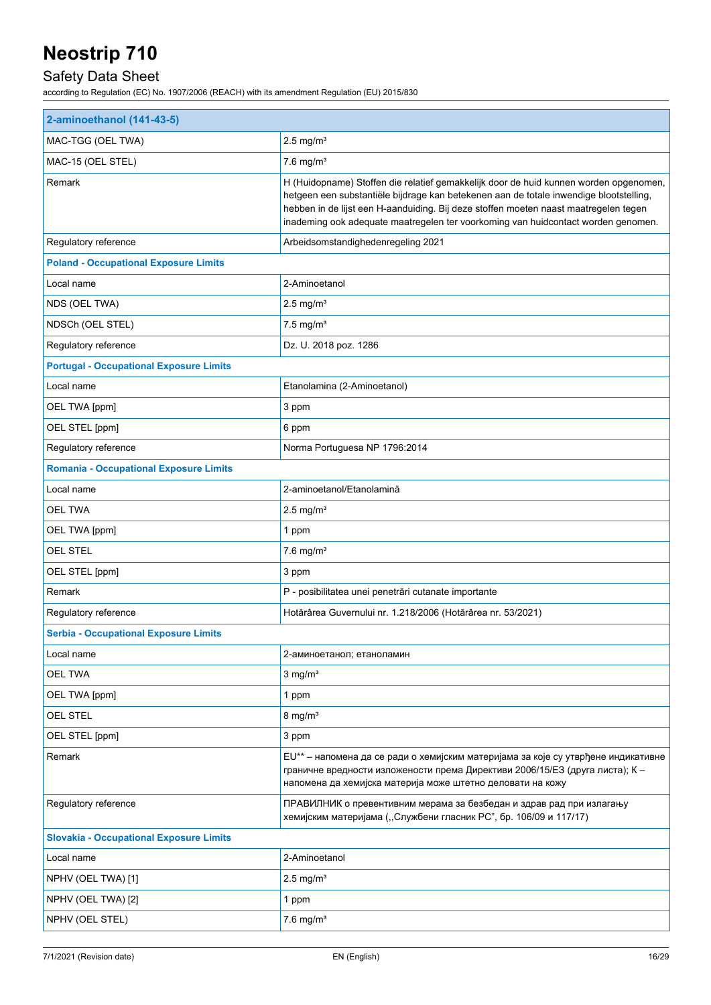## Safety Data Sheet

| 2-aminoethanol (141-43-5)                      |                                                                                                                                                                                                                                                                                                                                                              |  |
|------------------------------------------------|--------------------------------------------------------------------------------------------------------------------------------------------------------------------------------------------------------------------------------------------------------------------------------------------------------------------------------------------------------------|--|
| MAC-TGG (OEL TWA)                              | $2.5$ mg/m <sup>3</sup>                                                                                                                                                                                                                                                                                                                                      |  |
| MAC-15 (OEL STEL)                              | $7.6$ mg/m <sup>3</sup>                                                                                                                                                                                                                                                                                                                                      |  |
| Remark                                         | H (Huidopname) Stoffen die relatief gemakkelijk door de huid kunnen worden opgenomen,<br>hetgeen een substantiële bijdrage kan betekenen aan de totale inwendige blootstelling,<br>hebben in de lijst een H-aanduiding. Bij deze stoffen moeten naast maatregelen tegen<br>inademing ook adequate maatregelen ter voorkoming van huidcontact worden genomen. |  |
| Regulatory reference                           | Arbeidsomstandighedenregeling 2021                                                                                                                                                                                                                                                                                                                           |  |
| <b>Poland - Occupational Exposure Limits</b>   |                                                                                                                                                                                                                                                                                                                                                              |  |
| Local name                                     | 2-Aminoetanol                                                                                                                                                                                                                                                                                                                                                |  |
| NDS (OEL TWA)                                  | $2.5$ mg/m <sup>3</sup>                                                                                                                                                                                                                                                                                                                                      |  |
| NDSCh (OEL STEL)                               | $7.5$ mg/m <sup>3</sup>                                                                                                                                                                                                                                                                                                                                      |  |
| Regulatory reference                           | Dz. U. 2018 poz. 1286                                                                                                                                                                                                                                                                                                                                        |  |
| <b>Portugal - Occupational Exposure Limits</b> |                                                                                                                                                                                                                                                                                                                                                              |  |
| Local name                                     | Etanolamina (2-Aminoetanol)                                                                                                                                                                                                                                                                                                                                  |  |
| OEL TWA [ppm]                                  | 3 ppm                                                                                                                                                                                                                                                                                                                                                        |  |
| OEL STEL [ppm]                                 | 6 ppm                                                                                                                                                                                                                                                                                                                                                        |  |
| Regulatory reference                           | Norma Portuguesa NP 1796:2014                                                                                                                                                                                                                                                                                                                                |  |
| <b>Romania - Occupational Exposure Limits</b>  |                                                                                                                                                                                                                                                                                                                                                              |  |
| Local name                                     | 2-aminoetanol/Etanolamină                                                                                                                                                                                                                                                                                                                                    |  |
| <b>OEL TWA</b>                                 | $2.5$ mg/m <sup>3</sup>                                                                                                                                                                                                                                                                                                                                      |  |
| OEL TWA [ppm]                                  | 1 ppm                                                                                                                                                                                                                                                                                                                                                        |  |
| <b>OEL STEL</b>                                | $7.6$ mg/m <sup>3</sup>                                                                                                                                                                                                                                                                                                                                      |  |
| OEL STEL [ppm]                                 | 3 ppm                                                                                                                                                                                                                                                                                                                                                        |  |
| Remark                                         | P - posibilitatea unei penetrări cutanate importante                                                                                                                                                                                                                                                                                                         |  |
| Regulatory reference                           | Hotărârea Guvernului nr. 1.218/2006 (Hotărârea nr. 53/2021)                                                                                                                                                                                                                                                                                                  |  |
| <b>Serbia - Occupational Exposure Limits</b>   |                                                                                                                                                                                                                                                                                                                                                              |  |
| Local name                                     | 2-аминоетанол; етаноламин                                                                                                                                                                                                                                                                                                                                    |  |
| <b>OEL TWA</b>                                 | $3 \text{ mg/m}^3$                                                                                                                                                                                                                                                                                                                                           |  |
| OEL TWA [ppm]                                  | 1 ppm                                                                                                                                                                                                                                                                                                                                                        |  |
| <b>OEL STEL</b>                                | $8 \text{ mg/m}^3$                                                                                                                                                                                                                                                                                                                                           |  |
| OEL STEL [ppm]                                 | 3 ppm                                                                                                                                                                                                                                                                                                                                                        |  |
| Remark                                         | EU** - напомена да се ради о хемијским материјама за које су утврђене индикативне<br>граничне вредности изложености према Директиви 2006/15/E3 (друга листа); К -<br>напомена да хемијска материја може штетно деловати на кожу                                                                                                                              |  |
| Regulatory reference                           | ПРАВИЛНИК о превентивним мерама за безбедан и здрав рад при излагању<br>хемијским материјама ("Службени гласник РС", бр. 106/09 и 117/17)                                                                                                                                                                                                                    |  |
| <b>Slovakia - Occupational Exposure Limits</b> |                                                                                                                                                                                                                                                                                                                                                              |  |
| Local name                                     | 2-Aminoetanol                                                                                                                                                                                                                                                                                                                                                |  |
| NPHV (OEL TWA) [1]                             | $2.5 \text{ mg/m}^3$                                                                                                                                                                                                                                                                                                                                         |  |
| NPHV (OEL TWA) [2]                             | 1 ppm                                                                                                                                                                                                                                                                                                                                                        |  |
| NPHV (OEL STEL)                                | $7.6$ mg/m <sup>3</sup>                                                                                                                                                                                                                                                                                                                                      |  |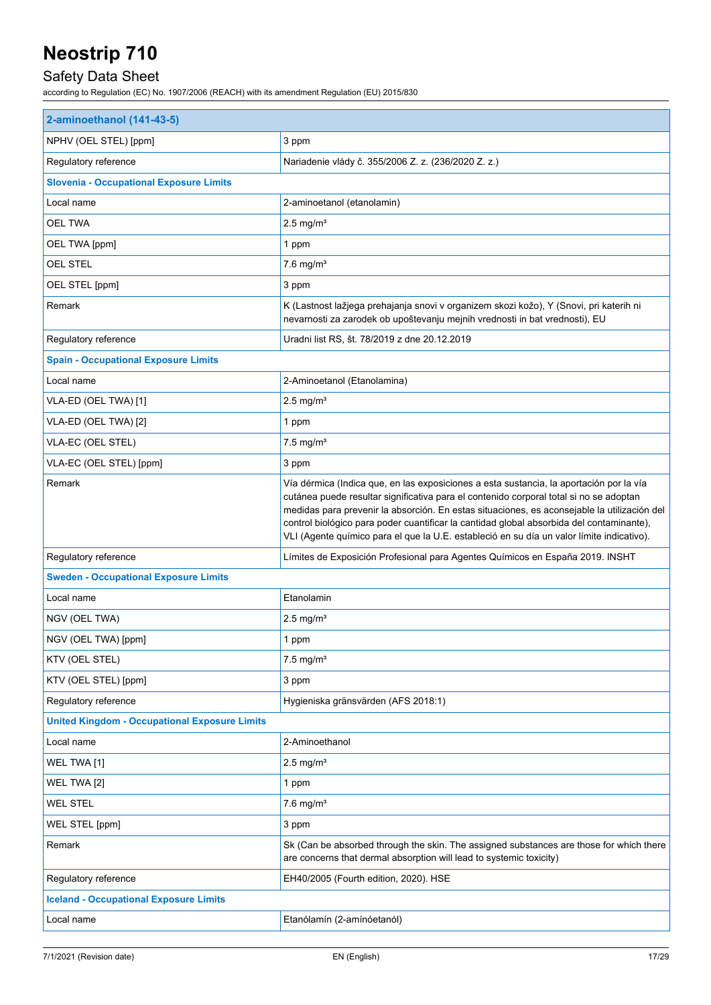## Safety Data Sheet

| 2-aminoethanol (141-43-5)                            |                                                                                                                                                                                                                                                                                                                                                                                                                                                                           |  |
|------------------------------------------------------|---------------------------------------------------------------------------------------------------------------------------------------------------------------------------------------------------------------------------------------------------------------------------------------------------------------------------------------------------------------------------------------------------------------------------------------------------------------------------|--|
| NPHV (OEL STEL) [ppm]                                | 3 ppm                                                                                                                                                                                                                                                                                                                                                                                                                                                                     |  |
| Regulatory reference                                 | Nariadenie vlády č. 355/2006 Z. z. (236/2020 Z. z.)                                                                                                                                                                                                                                                                                                                                                                                                                       |  |
| <b>Slovenia - Occupational Exposure Limits</b>       |                                                                                                                                                                                                                                                                                                                                                                                                                                                                           |  |
| Local name                                           | 2-aminoetanol (etanolamin)                                                                                                                                                                                                                                                                                                                                                                                                                                                |  |
| <b>OEL TWA</b>                                       | $2.5 \text{ mg/m}^3$                                                                                                                                                                                                                                                                                                                                                                                                                                                      |  |
| OEL TWA [ppm]                                        | 1 ppm                                                                                                                                                                                                                                                                                                                                                                                                                                                                     |  |
| <b>OEL STEL</b>                                      | $7.6$ mg/m <sup>3</sup>                                                                                                                                                                                                                                                                                                                                                                                                                                                   |  |
| OEL STEL [ppm]                                       | 3 ppm                                                                                                                                                                                                                                                                                                                                                                                                                                                                     |  |
| Remark                                               | K (Lastnost lažjega prehajanja snovi v organizem skozi kožo), Y (Snovi, pri katerih ni<br>nevarnosti za zarodek ob upoštevanju mejnih vrednosti in bat vrednosti), EU                                                                                                                                                                                                                                                                                                     |  |
| Regulatory reference                                 | Uradni list RS, št. 78/2019 z dne 20.12.2019                                                                                                                                                                                                                                                                                                                                                                                                                              |  |
| <b>Spain - Occupational Exposure Limits</b>          |                                                                                                                                                                                                                                                                                                                                                                                                                                                                           |  |
| Local name                                           | 2-Aminoetanol (Etanolamina)                                                                                                                                                                                                                                                                                                                                                                                                                                               |  |
| VLA-ED (OEL TWA) [1]                                 | $2.5$ mg/m <sup>3</sup>                                                                                                                                                                                                                                                                                                                                                                                                                                                   |  |
| VLA-ED (OEL TWA) [2]                                 | 1 ppm                                                                                                                                                                                                                                                                                                                                                                                                                                                                     |  |
| VLA-EC (OEL STEL)                                    | $7.5$ mg/m <sup>3</sup>                                                                                                                                                                                                                                                                                                                                                                                                                                                   |  |
| VLA-EC (OEL STEL) [ppm]                              | 3 ppm                                                                                                                                                                                                                                                                                                                                                                                                                                                                     |  |
| Remark                                               | Vía dérmica (Indica que, en las exposiciones a esta sustancia, la aportación por la vía<br>cutánea puede resultar significativa para el contenido corporal total si no se adoptan<br>medidas para prevenir la absorción. En estas situaciones, es aconsejable la utilización del<br>control biológico para poder cuantificar la cantidad global absorbida del contaminante),<br>VLI (Agente químico para el que la U.E. estableció en su día un valor límite indicativo). |  |
| Regulatory reference                                 | Límites de Exposición Profesional para Agentes Químicos en España 2019. INSHT                                                                                                                                                                                                                                                                                                                                                                                             |  |
| <b>Sweden - Occupational Exposure Limits</b>         |                                                                                                                                                                                                                                                                                                                                                                                                                                                                           |  |
| Local name                                           | Etanolamin                                                                                                                                                                                                                                                                                                                                                                                                                                                                |  |
| NGV (OEL TWA)                                        | $2.5$ mg/m <sup>3</sup>                                                                                                                                                                                                                                                                                                                                                                                                                                                   |  |
| NGV (OEL TWA) [ppm]                                  | 1 ppm                                                                                                                                                                                                                                                                                                                                                                                                                                                                     |  |
| KTV (OEL STEL)                                       | $7.5$ mg/m <sup>3</sup>                                                                                                                                                                                                                                                                                                                                                                                                                                                   |  |
| KTV (OEL STEL) [ppm]                                 | 3 ppm                                                                                                                                                                                                                                                                                                                                                                                                                                                                     |  |
| Regulatory reference                                 | Hygieniska gränsvärden (AFS 2018:1)                                                                                                                                                                                                                                                                                                                                                                                                                                       |  |
| <b>United Kingdom - Occupational Exposure Limits</b> |                                                                                                                                                                                                                                                                                                                                                                                                                                                                           |  |
| Local name                                           | 2-Aminoethanol                                                                                                                                                                                                                                                                                                                                                                                                                                                            |  |
| WEL TWA [1]                                          | $2.5$ mg/m <sup>3</sup>                                                                                                                                                                                                                                                                                                                                                                                                                                                   |  |
| WEL TWA [2]                                          | 1 ppm                                                                                                                                                                                                                                                                                                                                                                                                                                                                     |  |
| <b>WEL STEL</b>                                      | $7.6$ mg/m <sup>3</sup>                                                                                                                                                                                                                                                                                                                                                                                                                                                   |  |
| WEL STEL [ppm]                                       | 3 ppm                                                                                                                                                                                                                                                                                                                                                                                                                                                                     |  |
| Remark                                               | Sk (Can be absorbed through the skin. The assigned substances are those for which there<br>are concerns that dermal absorption will lead to systemic toxicity)                                                                                                                                                                                                                                                                                                            |  |
| Regulatory reference                                 | EH40/2005 (Fourth edition, 2020). HSE                                                                                                                                                                                                                                                                                                                                                                                                                                     |  |
| <b>Iceland - Occupational Exposure Limits</b>        |                                                                                                                                                                                                                                                                                                                                                                                                                                                                           |  |
| Local name                                           | Etanólamín (2-amínóetanól)                                                                                                                                                                                                                                                                                                                                                                                                                                                |  |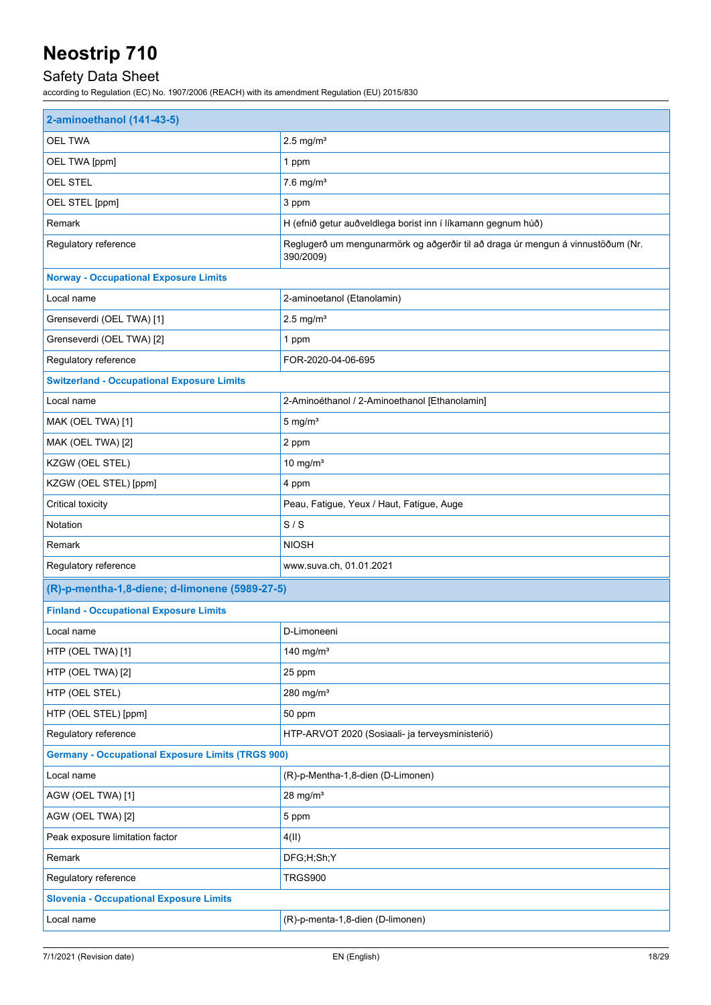## Safety Data Sheet

| 2-aminoethanol (141-43-5)                                |                                                                                              |  |
|----------------------------------------------------------|----------------------------------------------------------------------------------------------|--|
| <b>OEL TWA</b>                                           | $2.5$ mg/m <sup>3</sup>                                                                      |  |
| OEL TWA [ppm]                                            | 1 ppm                                                                                        |  |
| OEL STEL                                                 | $7.6$ mg/m <sup>3</sup>                                                                      |  |
| OEL STEL [ppm]                                           | 3 ppm                                                                                        |  |
| Remark                                                   | H (efnið getur auðveldlega borist inn í líkamann gegnum húð)                                 |  |
| Regulatory reference                                     | Reglugerð um mengunarmörk og aðgerðir til að draga úr mengun á vinnustöðum (Nr.<br>390/2009) |  |
| <b>Norway - Occupational Exposure Limits</b>             |                                                                                              |  |
| Local name                                               | 2-aminoetanol (Etanolamin)                                                                   |  |
| Grenseverdi (OEL TWA) [1]                                | $2.5$ mg/m <sup>3</sup>                                                                      |  |
| Grenseverdi (OEL TWA) [2]                                | 1 ppm                                                                                        |  |
| Regulatory reference                                     | FOR-2020-04-06-695                                                                           |  |
| <b>Switzerland - Occupational Exposure Limits</b>        |                                                                                              |  |
| Local name                                               | 2-Aminoéthanol / 2-Aminoethanol [Ethanolamin]                                                |  |
| MAK (OEL TWA) [1]                                        | $5$ mg/m <sup>3</sup>                                                                        |  |
| MAK (OEL TWA) [2]                                        | 2 ppm                                                                                        |  |
| KZGW (OEL STEL)                                          | 10 mg/ $m3$                                                                                  |  |
| KZGW (OEL STEL) [ppm]                                    | 4 ppm                                                                                        |  |
| Critical toxicity                                        | Peau, Fatigue, Yeux / Haut, Fatigue, Auge                                                    |  |
| Notation                                                 | S/S                                                                                          |  |
| Remark                                                   | <b>NIOSH</b>                                                                                 |  |
| Regulatory reference                                     | www.suva.ch, 01.01.2021                                                                      |  |
| (R)-p-mentha-1,8-diene; d-limonene (5989-27-5)           |                                                                                              |  |
| <b>Finland - Occupational Exposure Limits</b>            |                                                                                              |  |
| Local name                                               | D-Limoneeni                                                                                  |  |
| HTP (OEL TWA) [1]                                        | 140 mg/m $3$                                                                                 |  |
| HTP (OEL TWA) [2]                                        | 25 ppm                                                                                       |  |
| HTP (OEL STEL)                                           | 280 mg/m <sup>3</sup>                                                                        |  |
| HTP (OEL STEL) [ppm]                                     | 50 ppm                                                                                       |  |
| Regulatory reference                                     | HTP-ARVOT 2020 (Sosiaali- ja terveysministeriö)                                              |  |
| <b>Germany - Occupational Exposure Limits (TRGS 900)</b> |                                                                                              |  |
| Local name                                               | (R)-p-Mentha-1,8-dien (D-Limonen)                                                            |  |
| AGW (OEL TWA) [1]                                        | $28$ mg/m <sup>3</sup>                                                                       |  |
| AGW (OEL TWA) [2]                                        | 5 ppm                                                                                        |  |
| Peak exposure limitation factor                          | 4(II)                                                                                        |  |
| Remark                                                   | DFG;H;Sh;Y                                                                                   |  |
| Regulatory reference                                     | <b>TRGS900</b>                                                                               |  |
| <b>Slovenia - Occupational Exposure Limits</b>           |                                                                                              |  |
| Local name                                               | (R)-p-menta-1,8-dien (D-limonen)                                                             |  |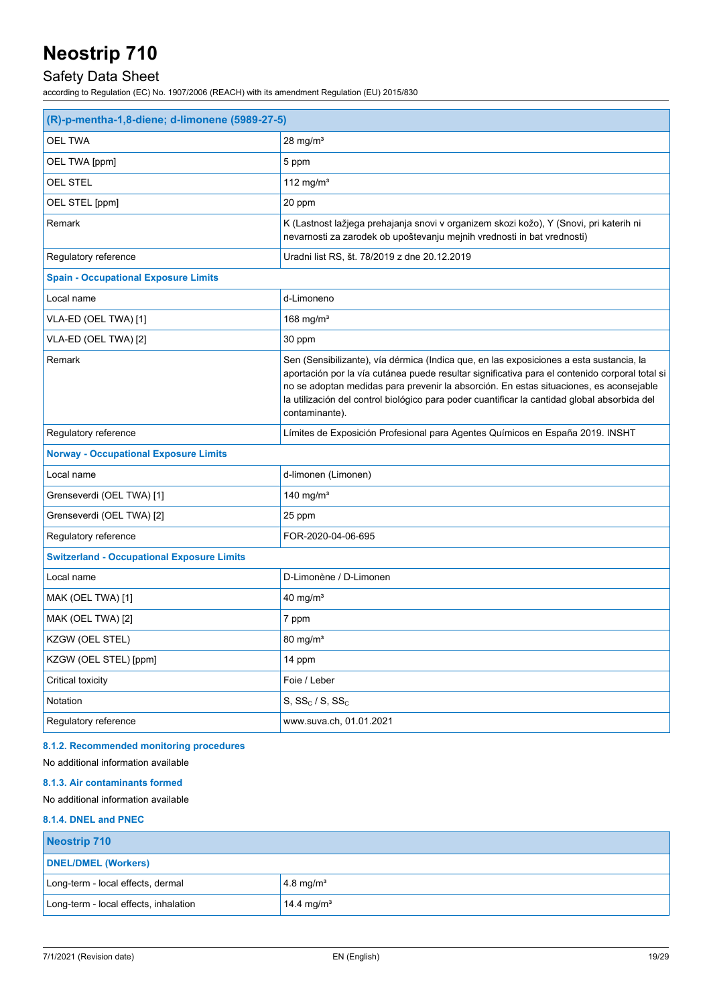## Safety Data Sheet

according to Regulation (EC) No. 1907/2006 (REACH) with its amendment Regulation (EU) 2015/830

| (R)-p-mentha-1,8-diene; d-limonene (5989-27-5)    |                                                                                                                                                                                                                                                                                                                                                                                                       |  |
|---------------------------------------------------|-------------------------------------------------------------------------------------------------------------------------------------------------------------------------------------------------------------------------------------------------------------------------------------------------------------------------------------------------------------------------------------------------------|--|
| <b>OEL TWA</b>                                    | $28$ mg/m <sup>3</sup>                                                                                                                                                                                                                                                                                                                                                                                |  |
| OEL TWA [ppm]                                     | 5 ppm                                                                                                                                                                                                                                                                                                                                                                                                 |  |
| <b>OEL STEL</b>                                   | 112 mg/m $3$                                                                                                                                                                                                                                                                                                                                                                                          |  |
| OEL STEL [ppm]                                    | 20 ppm                                                                                                                                                                                                                                                                                                                                                                                                |  |
| Remark                                            | K (Lastnost lažjega prehajanja snovi v organizem skozi kožo), Y (Snovi, pri katerih ni<br>nevarnosti za zarodek ob upoštevanju mejnih vrednosti in bat vrednosti)                                                                                                                                                                                                                                     |  |
| Regulatory reference                              | Uradni list RS, št. 78/2019 z dne 20.12.2019                                                                                                                                                                                                                                                                                                                                                          |  |
| <b>Spain - Occupational Exposure Limits</b>       |                                                                                                                                                                                                                                                                                                                                                                                                       |  |
| Local name                                        | d-Limoneno                                                                                                                                                                                                                                                                                                                                                                                            |  |
| VLA-ED (OEL TWA) [1]                              | 168 mg/ $m3$                                                                                                                                                                                                                                                                                                                                                                                          |  |
| VLA-ED (OEL TWA) [2]                              | 30 ppm                                                                                                                                                                                                                                                                                                                                                                                                |  |
| Remark                                            | Sen (Sensibilizante), vía dérmica (Indica que, en las exposiciones a esta sustancia, la<br>aportación por la vía cutánea puede resultar significativa para el contenido corporal total si<br>no se adoptan medidas para prevenir la absorción. En estas situaciones, es aconsejable<br>la utilización del control biológico para poder cuantificar la cantidad global absorbida del<br>contaminante). |  |
| Regulatory reference                              | Límites de Exposición Profesional para Agentes Químicos en España 2019. INSHT                                                                                                                                                                                                                                                                                                                         |  |
| <b>Norway - Occupational Exposure Limits</b>      |                                                                                                                                                                                                                                                                                                                                                                                                       |  |
| Local name                                        | d-limonen (Limonen)                                                                                                                                                                                                                                                                                                                                                                                   |  |
| Grenseverdi (OEL TWA) [1]                         | 140 mg/m <sup>3</sup>                                                                                                                                                                                                                                                                                                                                                                                 |  |
| Grenseverdi (OEL TWA) [2]                         | 25 ppm                                                                                                                                                                                                                                                                                                                                                                                                |  |
| Regulatory reference                              | FOR-2020-04-06-695                                                                                                                                                                                                                                                                                                                                                                                    |  |
| <b>Switzerland - Occupational Exposure Limits</b> |                                                                                                                                                                                                                                                                                                                                                                                                       |  |
| Local name                                        | D-Limonène / D-Limonen                                                                                                                                                                                                                                                                                                                                                                                |  |
| MAK (OEL TWA) [1]                                 | 40 mg/ $m3$                                                                                                                                                                                                                                                                                                                                                                                           |  |
| MAK (OEL TWA) [2]                                 | 7 ppm                                                                                                                                                                                                                                                                                                                                                                                                 |  |
| KZGW (OEL STEL)                                   | $80 \text{ mg/m}^3$                                                                                                                                                                                                                                                                                                                                                                                   |  |
| KZGW (OEL STEL) [ppm]                             | 14 ppm                                                                                                                                                                                                                                                                                                                                                                                                |  |
| Critical toxicity                                 | Foie / Leber                                                                                                                                                                                                                                                                                                                                                                                          |  |
| Notation                                          | $S, SS_c / S, SS_c$                                                                                                                                                                                                                                                                                                                                                                                   |  |
| Regulatory reference                              | www.suva.ch, 01.01.2021                                                                                                                                                                                                                                                                                                                                                                               |  |

### **8.1.2. Recommended monitoring procedures**

No additional information available

#### **8.1.3. Air contaminants formed**

No additional information available

### **8.1.4. DNEL and PNEC**

| Neostrip 710                          |                        |  |
|---------------------------------------|------------------------|--|
| <b>DNEL/DMEL (Workers)</b>            |                        |  |
| Long-term - local effects, dermal     | $4.8 \text{ mg/m}^3$   |  |
| Long-term - local effects, inhalation | 14.4 mg/m <sup>3</sup> |  |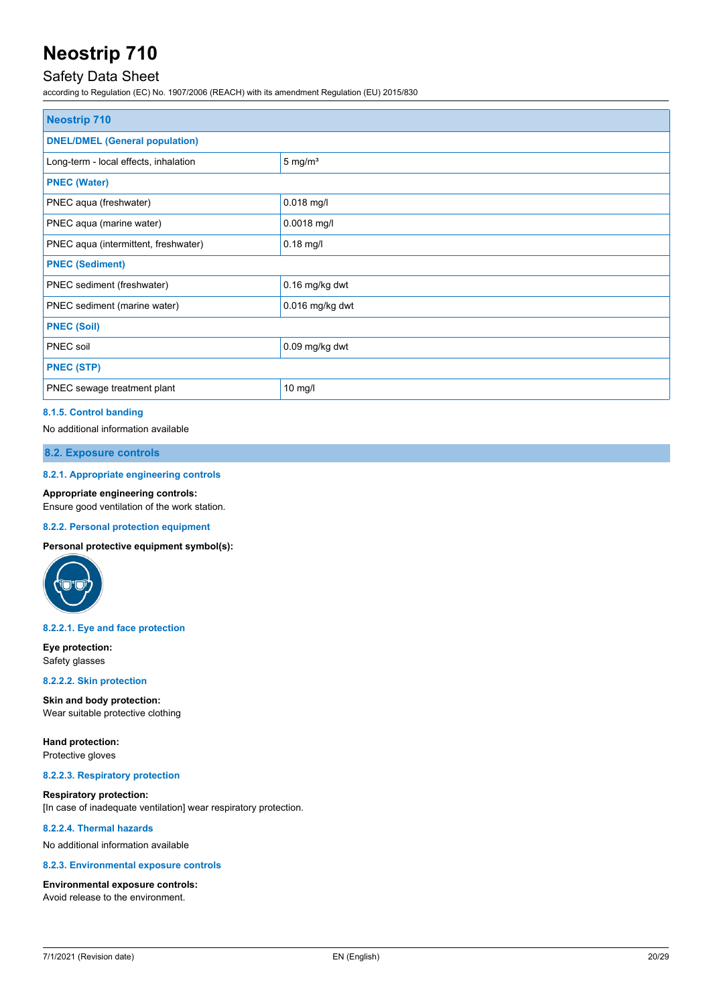### Safety Data Sheet

according to Regulation (EC) No. 1907/2006 (REACH) with its amendment Regulation (EU) 2015/830

| <b>Neostrip 710</b>                   |                    |  |
|---------------------------------------|--------------------|--|
| <b>DNEL/DMEL (General population)</b> |                    |  |
| Long-term - local effects, inhalation | $5 \text{ mg/m}^3$ |  |
| <b>PNEC (Water)</b>                   |                    |  |
| PNEC aqua (freshwater)                | $0.018$ mg/l       |  |
| PNEC aqua (marine water)              | $0.0018$ mg/l      |  |
| PNEC aqua (intermittent, freshwater)  | $0.18$ mg/l        |  |
| <b>PNEC (Sediment)</b>                |                    |  |
| PNEC sediment (freshwater)            | 0.16 mg/kg dwt     |  |
| PNEC sediment (marine water)          | 0.016 mg/kg dwt    |  |
| <b>PNEC (Soil)</b>                    |                    |  |
| PNEC soil                             | 0.09 mg/kg dwt     |  |
| <b>PNEC (STP)</b>                     |                    |  |
| PNEC sewage treatment plant           | 10 mg/l            |  |

### **8.1.5. Control banding**

No additional information available

### **8.2. Exposure controls**

#### **8.2.1. Appropriate engineering controls**

#### **Appropriate engineering controls:**

Ensure good ventilation of the work station.

#### **8.2.2. Personal protection equipment**

**Personal protective equipment symbol(s):**



#### **8.2.2.1. Eye and face protection**

**Eye protection:** Safety glasses

#### **8.2.2.2. Skin protection**

**Skin and body protection:** Wear suitable protective clothing

**Hand protection:** Protective gloves

#### **8.2.2.3. Respiratory protection**

**Respiratory protection:** [In case of inadequate ventilation] wear respiratory protection.

#### **8.2.2.4. Thermal hazards**

No additional information available

#### **8.2.3. Environmental exposure controls**

#### **Environmental exposure controls:**

Avoid release to the environment.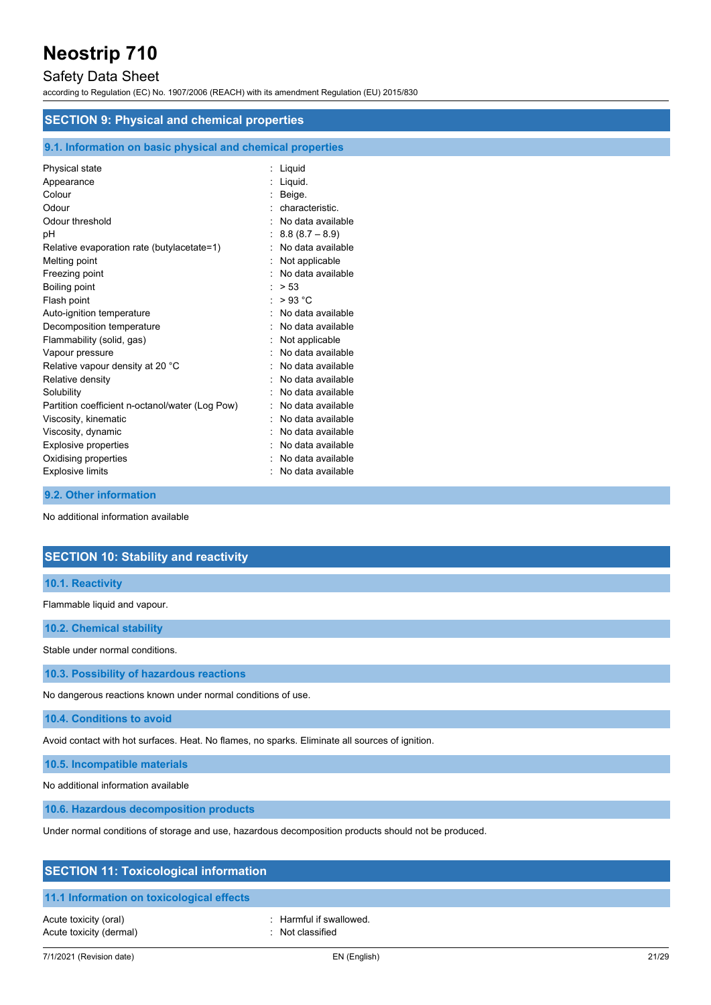### Safety Data Sheet

according to Regulation (EC) No. 1907/2006 (REACH) with its amendment Regulation (EU) 2015/830

| <b>SECTION 9: Physical and chemical properties</b>         |                     |  |
|------------------------------------------------------------|---------------------|--|
| 9.1. Information on basic physical and chemical properties |                     |  |
| Physical state                                             | : Liguid            |  |
| Appearance                                                 | : Liguid.           |  |
| Colour                                                     | : Beige.            |  |
| Odour                                                      | characteristic.     |  |
| Odour threshold                                            | No data available   |  |
| pH                                                         | $8.8(8.7 - 8.9)$    |  |
| Relative evaporation rate (butylacetate=1)                 | : No data available |  |
| Melting point                                              | Not applicable      |  |
| Freezing point                                             | : No data available |  |
| Boiling point                                              | : > 53              |  |
| Flash point                                                | : $>93 °C$          |  |
| Auto-ignition temperature                                  | No data available   |  |
| Decomposition temperature                                  | No data available   |  |
| Flammability (solid, gas)                                  | Not applicable      |  |
| Vapour pressure                                            | No data available   |  |
| Relative vapour density at 20 °C                           | No data available   |  |
| Relative density                                           | No data available   |  |
| Solubility                                                 | No data available   |  |
| Partition coefficient n-octanol/water (Log Pow)            | No data available   |  |
| Viscosity, kinematic                                       | No data available   |  |
| Viscosity, dynamic                                         | No data available   |  |
| Explosive properties                                       | No data available   |  |
| Oxidising properties                                       | No data available   |  |

**9.2. Other information**

No additional information available

|--|

Explosive limits **Explosive Limits Explosive Limits Explosive Limits Explosive Limits EXPLOSIVE 2018** 

### **10.1. Reactivity**

Flammable liquid and vapour.

**10.2. Chemical stability**

Stable under normal conditions.

**10.3. Possibility of hazardous reactions**

No dangerous reactions known under normal conditions of use.

**10.4. Conditions to avoid**

Avoid contact with hot surfaces. Heat. No flames, no sparks. Eliminate all sources of ignition.

**10.5. Incompatible materials**

No additional information available

**10.6. Hazardous decomposition products**

Under normal conditions of storage and use, hazardous decomposition products should not be produced.

| <b>SECTION 11: Toxicological information</b>     |                                             |  |
|--------------------------------------------------|---------------------------------------------|--|
| 11.1 Information on toxicological effects        |                                             |  |
| Acute toxicity (oral)<br>Acute toxicity (dermal) | : Harmful if swallowed.<br>: Not classified |  |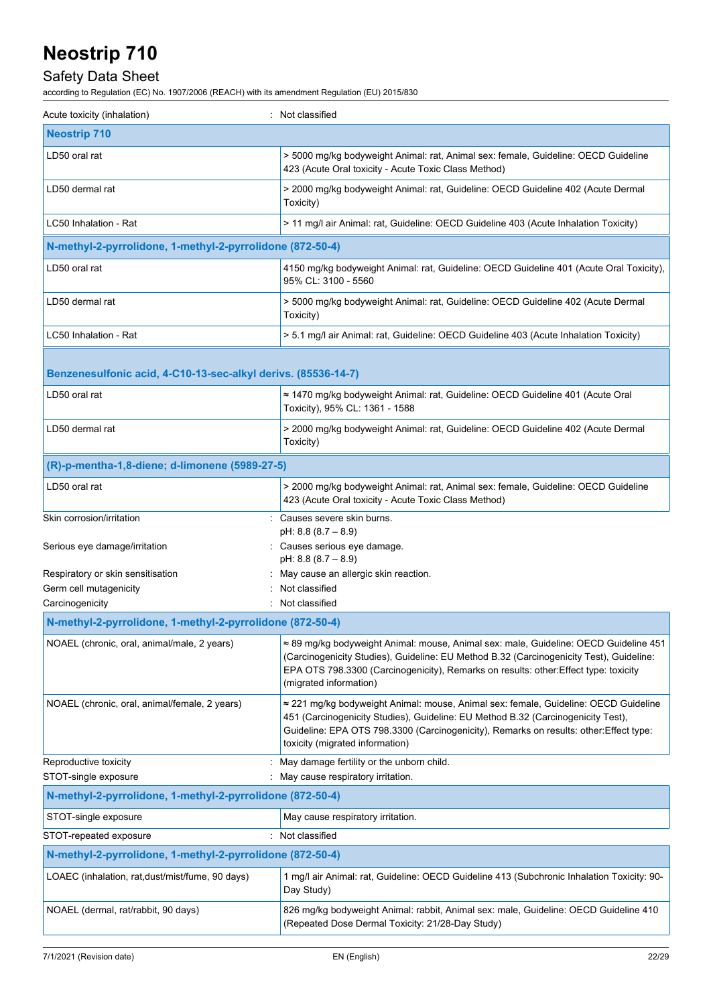## Safety Data Sheet

| Acute toxicity (inhalation)                                                  | : Not classified                                                                                                                                                                                                                                                                                     |
|------------------------------------------------------------------------------|------------------------------------------------------------------------------------------------------------------------------------------------------------------------------------------------------------------------------------------------------------------------------------------------------|
| <b>Neostrip 710</b>                                                          |                                                                                                                                                                                                                                                                                                      |
| LD50 oral rat                                                                | > 5000 mg/kg bodyweight Animal: rat, Animal sex: female, Guideline: OECD Guideline<br>423 (Acute Oral toxicity - Acute Toxic Class Method)                                                                                                                                                           |
| LD50 dermal rat                                                              | > 2000 mg/kg bodyweight Animal: rat, Guideline: OECD Guideline 402 (Acute Dermal<br>Toxicity)                                                                                                                                                                                                        |
| LC50 Inhalation - Rat                                                        | > 11 mg/l air Animal: rat, Guideline: OECD Guideline 403 (Acute Inhalation Toxicity)                                                                                                                                                                                                                 |
| N-methyl-2-pyrrolidone, 1-methyl-2-pyrrolidone (872-50-4)                    |                                                                                                                                                                                                                                                                                                      |
| LD50 oral rat                                                                | 4150 mg/kg bodyweight Animal: rat, Guideline: OECD Guideline 401 (Acute Oral Toxicity),<br>95% CL: 3100 - 5560                                                                                                                                                                                       |
| LD50 dermal rat                                                              | > 5000 mg/kg bodyweight Animal: rat, Guideline: OECD Guideline 402 (Acute Dermal<br>Toxicity)                                                                                                                                                                                                        |
| LC50 Inhalation - Rat                                                        | > 5.1 mg/l air Animal: rat, Guideline: OECD Guideline 403 (Acute Inhalation Toxicity)                                                                                                                                                                                                                |
| Benzenesulfonic acid, 4-C10-13-sec-alkyl derivs. (85536-14-7)                |                                                                                                                                                                                                                                                                                                      |
| LD50 oral rat                                                                | ≈ 1470 mg/kg bodyweight Animal: rat, Guideline: OECD Guideline 401 (Acute Oral<br>Toxicity), 95% CL: 1361 - 1588                                                                                                                                                                                     |
| LD50 dermal rat                                                              | > 2000 mg/kg bodyweight Animal: rat, Guideline: OECD Guideline 402 (Acute Dermal<br>Toxicity)                                                                                                                                                                                                        |
| (R)-p-mentha-1,8-diene; d-limonene (5989-27-5)                               |                                                                                                                                                                                                                                                                                                      |
| LD50 oral rat                                                                | > 2000 mg/kg bodyweight Animal: rat, Animal sex: female, Guideline: OECD Guideline<br>423 (Acute Oral toxicity - Acute Toxic Class Method)                                                                                                                                                           |
| Skin corrosion/irritation                                                    | : Causes severe skin burns.<br>pH: 8.8 (8.7 - 8.9)                                                                                                                                                                                                                                                   |
| Serious eye damage/irritation                                                | : Causes serious eye damage.<br>pH: 8.8 (8.7 - 8.9)                                                                                                                                                                                                                                                  |
| Respiratory or skin sensitisation                                            | May cause an allergic skin reaction.                                                                                                                                                                                                                                                                 |
| Germ cell mutagenicity                                                       | Not classified<br>Not classified                                                                                                                                                                                                                                                                     |
| Carcinogenicity<br>N-methyl-2-pyrrolidone, 1-methyl-2-pyrrolidone (872-50-4) |                                                                                                                                                                                                                                                                                                      |
|                                                                              |                                                                                                                                                                                                                                                                                                      |
| NOAEL (chronic, oral, animal/male, 2 years)                                  | ≈ 89 mg/kg bodyweight Animal: mouse, Animal sex: male, Guideline: OECD Guideline 451<br>(Carcinogenicity Studies), Guideline: EU Method B.32 (Carcinogenicity Test), Guideline:<br>EPA OTS 798.3300 (Carcinogenicity), Remarks on results: other: Effect type: toxicity<br>(migrated information)    |
| NOAEL (chronic, oral, animal/female, 2 years)                                | ≈ 221 mg/kg bodyweight Animal: mouse, Animal sex: female, Guideline: OECD Guideline<br>451 (Carcinogenicity Studies), Guideline: EU Method B.32 (Carcinogenicity Test),<br>Guideline: EPA OTS 798.3300 (Carcinogenicity), Remarks on results: other: Effect type:<br>toxicity (migrated information) |
| Reproductive toxicity<br>STOT-single exposure                                | May damage fertility or the unborn child.<br>May cause respiratory irritation.                                                                                                                                                                                                                       |
| N-methyl-2-pyrrolidone, 1-methyl-2-pyrrolidone (872-50-4)                    |                                                                                                                                                                                                                                                                                                      |
| STOT-single exposure                                                         | May cause respiratory irritation.                                                                                                                                                                                                                                                                    |
| STOT-repeated exposure<br>÷                                                  | Not classified                                                                                                                                                                                                                                                                                       |
| N-methyl-2-pyrrolidone, 1-methyl-2-pyrrolidone (872-50-4)                    |                                                                                                                                                                                                                                                                                                      |
| LOAEC (inhalation, rat, dust/mist/fume, 90 days)                             | 1 mg/l air Animal: rat, Guideline: OECD Guideline 413 (Subchronic Inhalation Toxicity: 90-<br>Day Study)                                                                                                                                                                                             |
| NOAEL (dermal, rat/rabbit, 90 days)                                          | 826 mg/kg bodyweight Animal: rabbit, Animal sex: male, Guideline: OECD Guideline 410<br>(Repeated Dose Dermal Toxicity: 21/28-Day Study)                                                                                                                                                             |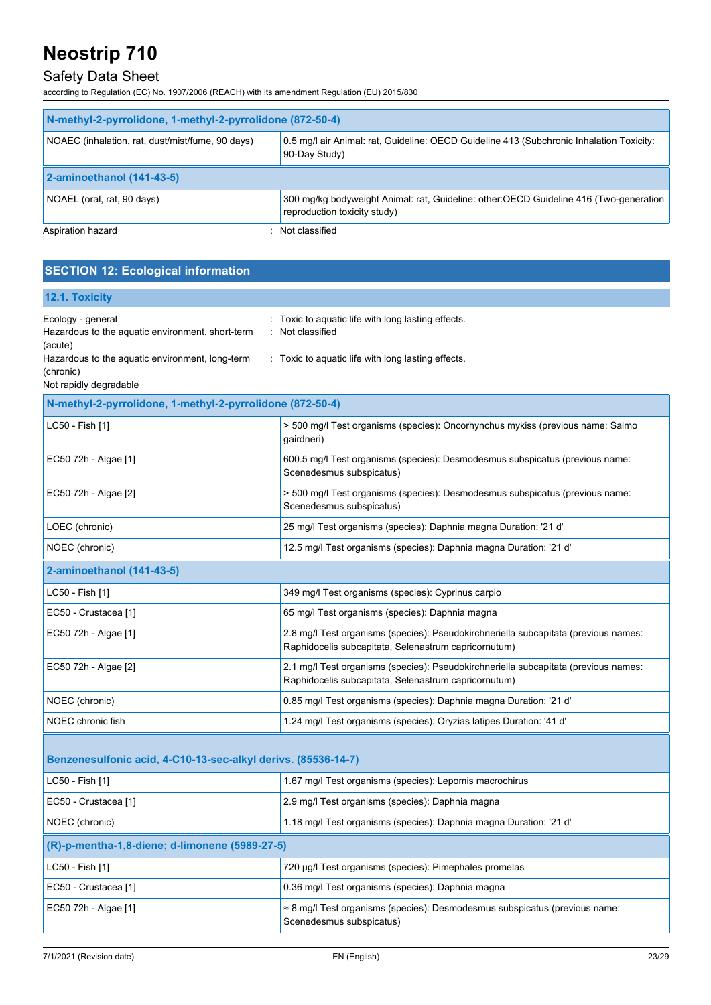### Safety Data Sheet

according to Regulation (EC) No. 1907/2006 (REACH) with its amendment Regulation (EU) 2015/830

| N-methyl-2-pyrrolidone, 1-methyl-2-pyrrolidone (872-50-4) |                                                                                                                        |  |
|-----------------------------------------------------------|------------------------------------------------------------------------------------------------------------------------|--|
| NOAEC (inhalation, rat, dust/mist/fume, 90 days)          | 0.5 mg/l air Animal: rat, Guideline: OECD Guideline 413 (Subchronic Inhalation Toxicity:<br>90-Day Study)              |  |
| 2-aminoethanol (141-43-5)                                 |                                                                                                                        |  |
| NOAEL (oral, rat, 90 days)                                | 300 mg/kg bodyweight Animal: rat, Guideline: other: OECD Guideline 416 (Two-generation<br>reproduction toxicity study) |  |
| Aspiration hazard                                         | Not classified                                                                                                         |  |

### **SECTION 12: Ecological information**

| 12.1. Toxicity |  |
|----------------|--|
|----------------|--|

| Ecology - general<br>Hazardous to the aquatic environment, short-term<br>(acute)<br>Hazardous to the aquatic environment, long-term | : Toxic to aquatic life with long lasting effects.<br>Not classified<br>: Toxic to aquatic life with long lasting effects.                  |  |
|-------------------------------------------------------------------------------------------------------------------------------------|---------------------------------------------------------------------------------------------------------------------------------------------|--|
| (chronic)<br>Not rapidly degradable                                                                                                 |                                                                                                                                             |  |
| N-methyl-2-pyrrolidone, 1-methyl-2-pyrrolidone (872-50-4)                                                                           |                                                                                                                                             |  |
| LC50 - Fish [1]                                                                                                                     | > 500 mg/l Test organisms (species): Oncorhynchus mykiss (previous name: Salmo<br>gairdneri)                                                |  |
| EC50 72h - Algae [1]                                                                                                                | 600.5 mg/l Test organisms (species): Desmodesmus subspicatus (previous name:<br>Scenedesmus subspicatus)                                    |  |
| EC50 72h - Algae [2]                                                                                                                | > 500 mg/l Test organisms (species): Desmodesmus subspicatus (previous name:<br>Scenedesmus subspicatus)                                    |  |
| LOEC (chronic)                                                                                                                      | 25 mg/l Test organisms (species): Daphnia magna Duration: '21 d'                                                                            |  |
| NOEC (chronic)                                                                                                                      | 12.5 mg/l Test organisms (species): Daphnia magna Duration: '21 d'                                                                          |  |
| 2-aminoethanol (141-43-5)                                                                                                           |                                                                                                                                             |  |
| LC50 - Fish [1]                                                                                                                     | 349 mg/l Test organisms (species): Cyprinus carpio                                                                                          |  |
| EC50 - Crustacea [1]                                                                                                                | 65 mg/l Test organisms (species): Daphnia magna                                                                                             |  |
| EC50 72h - Algae [1]                                                                                                                | 2.8 mg/l Test organisms (species): Pseudokirchneriella subcapitata (previous names:<br>Raphidocelis subcapitata, Selenastrum capricornutum) |  |
| EC50 72h - Algae [2]                                                                                                                | 2.1 mg/l Test organisms (species): Pseudokirchneriella subcapitata (previous names:<br>Raphidocelis subcapitata, Selenastrum capricornutum) |  |
| NOEC (chronic)                                                                                                                      | 0.85 mg/l Test organisms (species): Daphnia magna Duration: '21 d'                                                                          |  |
| NOEC chronic fish                                                                                                                   | 1.24 mg/l Test organisms (species): Oryzias latipes Duration: '41 d'                                                                        |  |
| Benzenesulfonic acid, 4-C10-13-sec-alkyl derivs. (85536-14-7)                                                                       |                                                                                                                                             |  |
| LC50 - Fish [1]                                                                                                                     | 1.67 mg/l Test organisms (species): Lepomis macrochirus                                                                                     |  |
| EC50 - Crustacea [1]                                                                                                                | 2.9 mg/l Test organisms (species): Daphnia magna                                                                                            |  |
| NOEC (chronic)                                                                                                                      | 1.18 mg/l Test organisms (species): Daphnia magna Duration: '21 d'                                                                          |  |
| (R)-p-mentha-1,8-diene; d-limonene (5989-27-5)                                                                                      |                                                                                                                                             |  |
| LC50 - Fish [1]                                                                                                                     | 720 µg/l Test organisms (species): Pimephales promelas                                                                                      |  |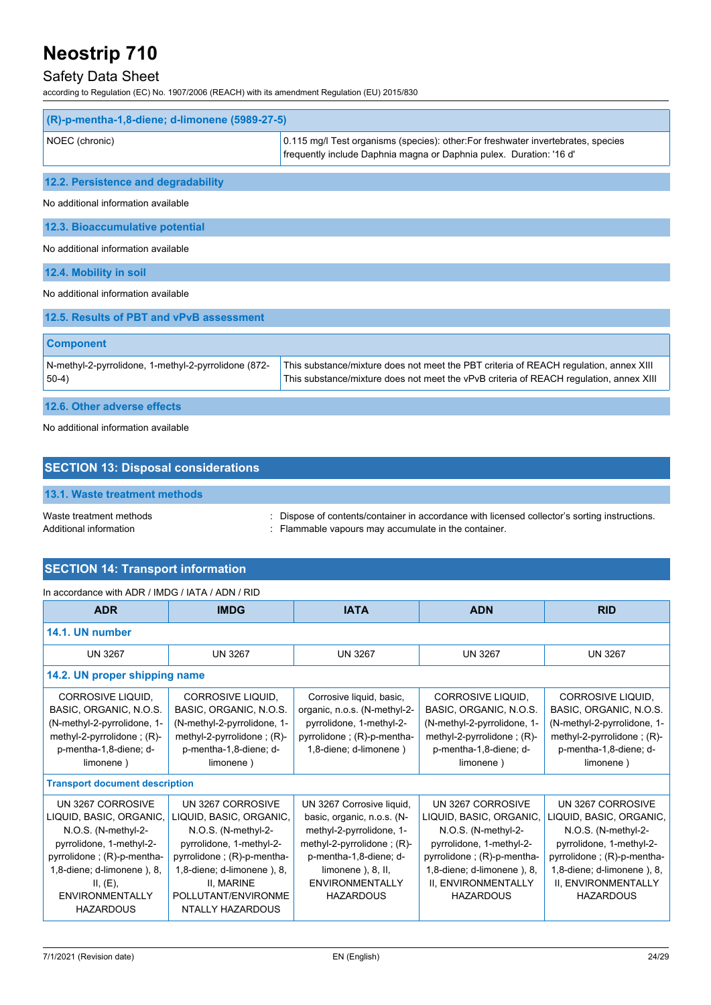## Safety Data Sheet

according to Regulation (EC) No. 1907/2006 (REACH) with its amendment Regulation (EU) 2015/830

| (R)-p-mentha-1,8-diene; d-limonene (5989-27-5)                  |                                                                                                                                                                                 |  |
|-----------------------------------------------------------------|---------------------------------------------------------------------------------------------------------------------------------------------------------------------------------|--|
| NOEC (chronic)                                                  | 0.115 mg/l Test organisms (species): other: For freshwater invertebrates, species<br>frequently include Daphnia magna or Daphnia pulex. Duration: '16 d'                        |  |
| 12.2. Persistence and degradability                             |                                                                                                                                                                                 |  |
| No additional information available                             |                                                                                                                                                                                 |  |
| 12.3. Bioaccumulative potential                                 |                                                                                                                                                                                 |  |
| No additional information available                             |                                                                                                                                                                                 |  |
| 12.4. Mobility in soil                                          |                                                                                                                                                                                 |  |
| No additional information available                             |                                                                                                                                                                                 |  |
| 12.5. Results of PBT and vPvB assessment                        |                                                                                                                                                                                 |  |
| <b>Component</b>                                                |                                                                                                                                                                                 |  |
| N-methyl-2-pyrrolidone, 1-methyl-2-pyrrolidone (872-<br>$50-4)$ | This substance/mixture does not meet the PBT criteria of REACH regulation, annex XIII<br>This substance/mixture does not meet the vPvB criteria of REACH regulation, annex XIII |  |
| 12.6. Other adverse effects                                     |                                                                                                                                                                                 |  |

No additional information available

| <b>SECTION 13: Disposal considerations</b>        |                                                                                                                                                       |  |
|---------------------------------------------------|-------------------------------------------------------------------------------------------------------------------------------------------------------|--|
| 13.1. Waste treatment methods                     |                                                                                                                                                       |  |
| Waste treatment methods<br>Additional information | : Dispose of contents/container in accordance with licensed collector's sorting instructions.<br>: Flammable vapours may accumulate in the container. |  |

### **SECTION 14: Transport information**

### In accordance with ADR / IMDG / IATA / ADN / RID

| <b>ADR</b>                                                                                                                                                                                                                                                                                                                                                                                                                                                                                                                                                                                                                                                                                                                                                                                                           | <b>IMDG</b>                                                                                                                                                                                                          | <b>IATA</b>                                                                                                                                                                                                                 | <b>ADN</b>                                                                                                                                                                                             | <b>RID</b>                                                                                                                                                                                             |
|----------------------------------------------------------------------------------------------------------------------------------------------------------------------------------------------------------------------------------------------------------------------------------------------------------------------------------------------------------------------------------------------------------------------------------------------------------------------------------------------------------------------------------------------------------------------------------------------------------------------------------------------------------------------------------------------------------------------------------------------------------------------------------------------------------------------|----------------------------------------------------------------------------------------------------------------------------------------------------------------------------------------------------------------------|-----------------------------------------------------------------------------------------------------------------------------------------------------------------------------------------------------------------------------|--------------------------------------------------------------------------------------------------------------------------------------------------------------------------------------------------------|--------------------------------------------------------------------------------------------------------------------------------------------------------------------------------------------------------|
| 14.1. UN number                                                                                                                                                                                                                                                                                                                                                                                                                                                                                                                                                                                                                                                                                                                                                                                                      |                                                                                                                                                                                                                      |                                                                                                                                                                                                                             |                                                                                                                                                                                                        |                                                                                                                                                                                                        |
| <b>UN 3267</b>                                                                                                                                                                                                                                                                                                                                                                                                                                                                                                                                                                                                                                                                                                                                                                                                       | <b>UN 3267</b>                                                                                                                                                                                                       | <b>UN 3267</b>                                                                                                                                                                                                              | <b>UN 3267</b>                                                                                                                                                                                         | <b>UN 3267</b>                                                                                                                                                                                         |
| 14.2. UN proper shipping name                                                                                                                                                                                                                                                                                                                                                                                                                                                                                                                                                                                                                                                                                                                                                                                        |                                                                                                                                                                                                                      |                                                                                                                                                                                                                             |                                                                                                                                                                                                        |                                                                                                                                                                                                        |
| CORROSIVE LIQUID,<br>CORROSIVE LIQUID.<br>Corrosive liquid, basic,<br>CORROSIVE LIQUID,<br><b>CORROSIVE LIQUID.</b><br>BASIC, ORGANIC, N.O.S.<br>BASIC, ORGANIC, N.O.S.<br>BASIC, ORGANIC, N.O.S.<br>BASIC, ORGANIC, N.O.S.<br>organic, n.o.s. (N-methyl-2-<br>(N-methyl-2-pyrrolidone, 1-<br>(N-methyl-2-pyrrolidone, 1-<br>(N-methyl-2-pyrrolidone, 1-<br>(N-methyl-2-pyrrolidone, 1-<br>pyrrolidone, 1-methyl-2-<br>pyrrolidone; (R)-p-mentha-<br>methyl-2-pyrrolidone; $(R)$ -<br>methyl-2-pyrrolidone; $(R)$ -<br>methyl-2-pyrrolidone; $(R)$ -<br>methyl-2-pyrrolidone; $(R)$ -<br>p-mentha-1,8-diene; d-<br>p-mentha-1,8-diene; d-<br>1,8-diene; d-limonene)<br>p-mentha-1,8-diene; d-<br>p-mentha-1,8-diene; d-<br>limonene)<br>limonene)<br>limonene)<br>limonene)<br><b>Transport document description</b> |                                                                                                                                                                                                                      |                                                                                                                                                                                                                             |                                                                                                                                                                                                        |                                                                                                                                                                                                        |
| UN 3267 CORROSIVE<br>LIQUID, BASIC, ORGANIC,<br>N.O.S. (N-methyl-2-<br>pyrrolidone, 1-methyl-2-<br>pyrrolidone; (R)-p-mentha-<br>1,8-diene; d-limonene), 8,<br>II, (E),<br><b>ENVIRONMENTALLY</b><br><b>HAZARDOUS</b>                                                                                                                                                                                                                                                                                                                                                                                                                                                                                                                                                                                                | UN 3267 CORROSIVE<br>LIQUID, BASIC, ORGANIC,<br>N.O.S. (N-methyl-2-<br>pyrrolidone, 1-methyl-2-<br>pyrrolidone; (R)-p-mentha-<br>1,8-diene; d-limonene), 8,<br>II, MARINE<br>POLLUTANT/ENVIRONME<br>NTALLY HAZARDOUS | UN 3267 Corrosive liquid,<br>basic, organic, n.o.s. (N-<br>methyl-2-pyrrolidone, 1-<br>methyl-2-pyrrolidone; $(R)$ -<br>p-mentha-1,8-diene; d-<br>limonene $\lambda$ , 8, II,<br><b>ENVIRONMENTALLY</b><br><b>HAZARDOUS</b> | UN 3267 CORROSIVE<br>LIQUID, BASIC, ORGANIC,<br>N.O.S. (N-methyl-2-<br>pyrrolidone, 1-methyl-2-<br>pyrrolidone; (R)-p-mentha-<br>1,8-diene; d-limonene), 8,<br>II, ENVIRONMENTALLY<br><b>HAZARDOUS</b> | UN 3267 CORROSIVE<br>LIQUID, BASIC, ORGANIC,<br>N.O.S. (N-methyl-2-<br>pyrrolidone, 1-methyl-2-<br>pyrrolidone; (R)-p-mentha-<br>1,8-diene; d-limonene), 8,<br>II, ENVIRONMENTALLY<br><b>HAZARDOUS</b> |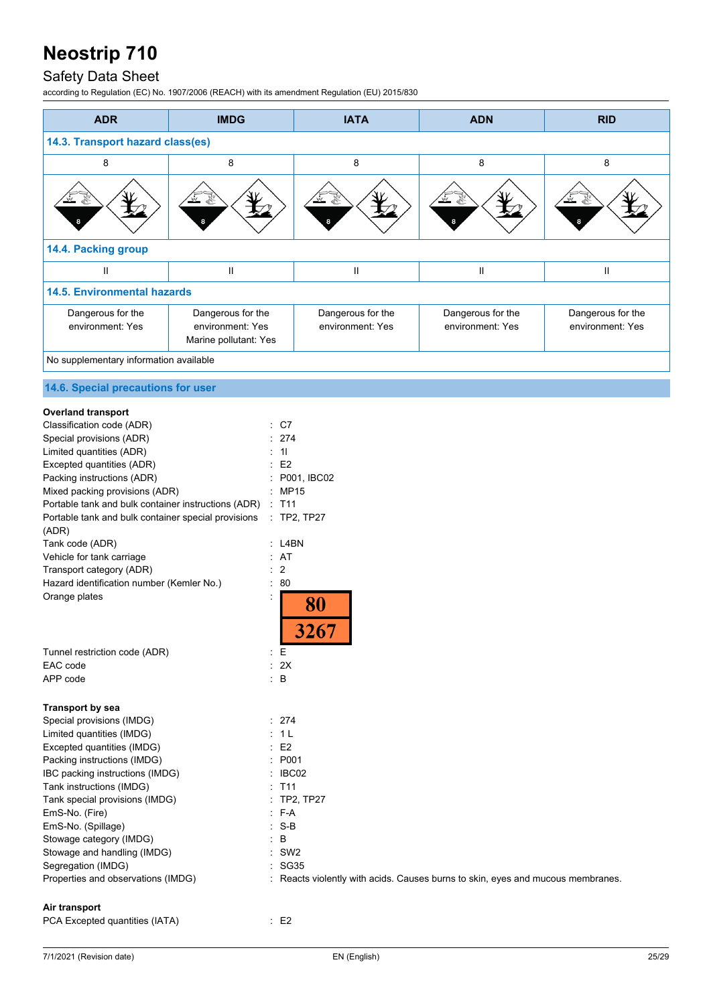## Safety Data Sheet

| <b>ADR</b>                                                                                                                                                                                                                                                                                                                                                                                                                                                                                                                            | <b>IMDG</b>                                                                                                                                                                                                                                                                                                                                                                                                                                                                                                                              | <b>IATA</b>                                                                                    | <b>ADN</b>                            | <b>RID</b>                                                                                                                                                                                                                                                                                                                                                                                                                                                              |
|---------------------------------------------------------------------------------------------------------------------------------------------------------------------------------------------------------------------------------------------------------------------------------------------------------------------------------------------------------------------------------------------------------------------------------------------------------------------------------------------------------------------------------------|------------------------------------------------------------------------------------------------------------------------------------------------------------------------------------------------------------------------------------------------------------------------------------------------------------------------------------------------------------------------------------------------------------------------------------------------------------------------------------------------------------------------------------------|------------------------------------------------------------------------------------------------|---------------------------------------|-------------------------------------------------------------------------------------------------------------------------------------------------------------------------------------------------------------------------------------------------------------------------------------------------------------------------------------------------------------------------------------------------------------------------------------------------------------------------|
| 14.3. Transport hazard class(es)                                                                                                                                                                                                                                                                                                                                                                                                                                                                                                      |                                                                                                                                                                                                                                                                                                                                                                                                                                                                                                                                          |                                                                                                |                                       |                                                                                                                                                                                                                                                                                                                                                                                                                                                                         |
| 8                                                                                                                                                                                                                                                                                                                                                                                                                                                                                                                                     | 8                                                                                                                                                                                                                                                                                                                                                                                                                                                                                                                                        | 8                                                                                              | 8                                     | 8                                                                                                                                                                                                                                                                                                                                                                                                                                                                       |
|                                                                                                                                                                                                                                                                                                                                                                                                                                                                                                                                       |                                                                                                                                                                                                                                                                                                                                                                                                                                                                                                                                          |                                                                                                |                                       |                                                                                                                                                                                                                                                                                                                                                                                                                                                                         |
| 14.4. Packing group                                                                                                                                                                                                                                                                                                                                                                                                                                                                                                                   |                                                                                                                                                                                                                                                                                                                                                                                                                                                                                                                                          |                                                                                                |                                       |                                                                                                                                                                                                                                                                                                                                                                                                                                                                         |
| $\mathsf{I}\mathsf{I}$                                                                                                                                                                                                                                                                                                                                                                                                                                                                                                                | $\mathop{\mathrm{II}}% \nolimits_{\mathop{\mathrm{II}}% \nolimits} \mathop{\mathrm{II}}% \nolimits_{\mathop{\mathrm{II}}% \nolimits} \mathop{\mathrm{II}}% \nolimits_{\mathop{\mathrm{II}}% \nolimits} \mathop{\mathrm{II}}% \nolimits_{\mathop{\mathrm{II}}% \nolimits} \mathop{\mathrm{II}}% \nolimits_{\mathop{\mathrm{II}}% \nolimits} \mathop{\mathrm{II}}% \nolimits_{\mathop{\mathrm{II}}% \nolimits} \mathop{\mathrm{II}}% \nolimits_{\mathop{\mathrm{II}}% \nolimits} \mathop{\mathrm{II}}% \nolimits_{\mathop{\mathrm{II}}% \$ | $\mathsf{I}$                                                                                   | Ш                                     | $\mathop{  }% \text{log}(p_{\theta}^{*})\mathop{  }% \text{log}(p_{\theta}^{*})\mathop{  }% \text{log}(p_{\theta}^{*})\mathop{  }% \text{log}(p_{\theta}^{*})\mathop{  }% \text{log}(p_{\theta}^{*})\mathop{  }% \text{log}(p_{\theta}^{*})\mathop{  }% \text{log}(p_{\theta}^{*})\mathop{  }% \text{log}(p_{\theta}^{*})\mathop{  }% \text{log}(p_{\theta}^{*})\mathop{  }% \text{log}(p_{\theta}^{*})\mathop{  }% \text{log}(p_{\theta}^{*})\mathop{  }% \text{log}($ |
| <b>14.5. Environmental hazards</b>                                                                                                                                                                                                                                                                                                                                                                                                                                                                                                    |                                                                                                                                                                                                                                                                                                                                                                                                                                                                                                                                          |                                                                                                |                                       |                                                                                                                                                                                                                                                                                                                                                                                                                                                                         |
| Dangerous for the<br>environment: Yes                                                                                                                                                                                                                                                                                                                                                                                                                                                                                                 | Dangerous for the<br>environment: Yes<br>Marine pollutant: Yes                                                                                                                                                                                                                                                                                                                                                                                                                                                                           | Dangerous for the<br>environment: Yes                                                          | Dangerous for the<br>environment: Yes | Dangerous for the<br>environment: Yes                                                                                                                                                                                                                                                                                                                                                                                                                                   |
| No supplementary information available                                                                                                                                                                                                                                                                                                                                                                                                                                                                                                |                                                                                                                                                                                                                                                                                                                                                                                                                                                                                                                                          |                                                                                                |                                       |                                                                                                                                                                                                                                                                                                                                                                                                                                                                         |
| 14.6. Special precautions for user                                                                                                                                                                                                                                                                                                                                                                                                                                                                                                    |                                                                                                                                                                                                                                                                                                                                                                                                                                                                                                                                          |                                                                                                |                                       |                                                                                                                                                                                                                                                                                                                                                                                                                                                                         |
| <b>Overland transport</b><br>Classification code (ADR)<br>Special provisions (ADR)<br>Limited quantities (ADR)<br>Excepted quantities (ADR)<br>Packing instructions (ADR)<br>Mixed packing provisions (ADR)<br>Portable tank and bulk container instructions (ADR)<br>Portable tank and bulk container special provisions<br>(ADR)<br>Tank code (ADR)<br>Vehicle for tank carriage<br>Transport category (ADR)<br>Hazard identification number (Kemler No.)<br>Orange plates<br>Tunnel restriction code (ADR)<br>EAC code<br>APP code | C7<br>274<br>: 11<br>E2<br>: MP15<br>T <sub>11</sub><br>$:$ L4BN<br>: AT<br>$\overline{2}$<br>80<br>÷.<br>$\ddot{\cdot}$<br>E<br>: 2X<br>$\therefore$ B                                                                                                                                                                                                                                                                                                                                                                                  | P001, IBC02<br>TP2, TP27<br>80<br>3267                                                         |                                       |                                                                                                                                                                                                                                                                                                                                                                                                                                                                         |
| <b>Transport by sea</b><br>Special provisions (IMDG)<br>Limited quantities (IMDG)<br>Excepted quantities (IMDG)<br>Packing instructions (IMDG)<br>IBC packing instructions (IMDG)<br>Tank instructions (IMDG)<br>Tank special provisions (IMDG)<br>EmS-No. (Fire)<br>EmS-No. (Spillage)<br>Stowage category (IMDG)<br>Stowage and handling (IMDG)<br>Segregation (IMDG)<br>Properties and observations (IMDG)<br>Air transport                                                                                                        | : 274<br>: 1L<br>E2<br>: P001<br>: IBC02<br>$:$ T11<br>$-F-A$<br>$: S-B$<br>$\therefore$ B<br>$:$ SW2<br><b>SG35</b><br>÷.                                                                                                                                                                                                                                                                                                                                                                                                               | : TP2, TP27<br>: Reacts violently with acids. Causes burns to skin, eyes and mucous membranes. |                                       |                                                                                                                                                                                                                                                                                                                                                                                                                                                                         |
| PCA Excepted quantities (IATA)                                                                                                                                                                                                                                                                                                                                                                                                                                                                                                        | $\therefore$ E2                                                                                                                                                                                                                                                                                                                                                                                                                                                                                                                          |                                                                                                |                                       |                                                                                                                                                                                                                                                                                                                                                                                                                                                                         |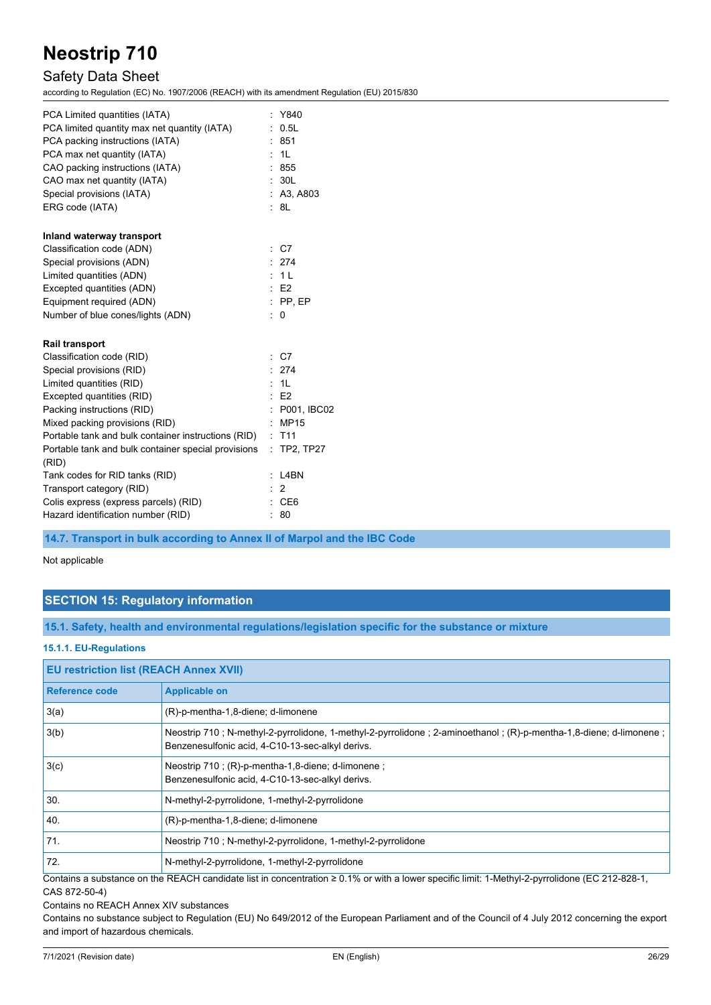### Safety Data Sheet

according to Regulation (EC) No. 1907/2006 (REACH) with its amendment Regulation (EU) 2015/830

| PCA Limited quantities (IATA)                                |           | Y840             |
|--------------------------------------------------------------|-----------|------------------|
| PCA limited quantity max net quantity (IATA)                 |           | 0.5L             |
| PCA packing instructions (IATA)                              |           | : 851            |
| PCA max net quantity (IATA)                                  |           | : 1L             |
| CAO packing instructions (IATA)                              |           | : 855            |
| CAO max net quantity (IATA)                                  |           | : 30L            |
| Special provisions (IATA)                                    |           | : A3, A803       |
| ERG code (IATA)                                              |           | : 8L             |
| Inland waterway transport                                    |           |                  |
| Classification code (ADN)                                    |           | : C7             |
| Special provisions (ADN)                                     |           | : 274            |
| Limited quantities (ADN)                                     |           | : 1L             |
| Excepted quantities (ADN)                                    |           | E2               |
| Equipment required (ADN)                                     |           | $:$ PP, EP       |
| Number of blue cones/lights (ADN)                            | $\bullet$ | 0                |
| <b>Rail transport</b>                                        |           |                  |
| Classification code (RID)                                    |           | C <sub>7</sub>   |
| Special provisions (RID)                                     |           | : 274            |
| Limited quantities (RID)                                     |           | : 1L             |
| Excepted quantities (RID)                                    |           | E2               |
| Packing instructions (RID)                                   |           | : P001, IBC02    |
| Mixed packing provisions (RID)                               |           | :MP15            |
| Portable tank and bulk container instructions (RID)          |           | : T11            |
| Portable tank and bulk container special provisions<br>(RID) | ÷.        | <b>TP2, TP27</b> |
| Tank codes for RID tanks (RID)                               |           | L4BN             |
| Transport category (RID)                                     |           | 2                |
| Colis express (express parcels) (RID)                        |           | $\therefore$ CE6 |
| Hazard identification number (RID)                           |           | 80               |
|                                                              |           |                  |

**14.7. Transport in bulk according to Annex II of Marpol and the IBC Code**

Not applicable

### **SECTION 15: Regulatory information**

**15.1. Safety, health and environmental regulations/legislation specific for the substance or mixture**

### **15.1.1. EU-Regulations**

| <b>EU restriction list (REACH Annex XVII)</b> |                                                                                                                                                                       |
|-----------------------------------------------|-----------------------------------------------------------------------------------------------------------------------------------------------------------------------|
| <b>Reference code</b>                         | <b>Applicable on</b>                                                                                                                                                  |
| 3(a)                                          | (R)-p-mentha-1,8-diene; d-limonene                                                                                                                                    |
| 3(b)                                          | Neostrip 710; N-methyl-2-pyrrolidone, 1-methyl-2-pyrrolidone; 2-aminoethanol; (R)-p-mentha-1,8-diene; d-limonene;<br>Benzenesulfonic acid, 4-C10-13-sec-alkyl derivs. |
| 3(c)                                          | Neostrip 710; (R)-p-mentha-1,8-diene; d-limonene;<br>Benzenesulfonic acid, 4-C10-13-sec-alkyl derivs.                                                                 |
| 30.                                           | N-methyl-2-pyrrolidone, 1-methyl-2-pyrrolidone                                                                                                                        |
| 40.                                           | (R)-p-mentha-1,8-diene; d-limonene                                                                                                                                    |
| 71.                                           | Neostrip 710; N-methyl-2-pyrrolidone, 1-methyl-2-pyrrolidone                                                                                                          |
| 72.                                           | N-methyl-2-pyrrolidone, 1-methyl-2-pyrrolidone                                                                                                                        |

Contains a substance on the REACH candidate list in concentration ≥ 0.1% or with a lower specific limit: 1-Methyl-2-pyrrolidone (EC 212-828-1, CAS 872-50-4)

Contains no REACH Annex XIV substances

Contains no substance subject to Regulation (EU) No 649/2012 of the European Parliament and of the Council of 4 July 2012 concerning the export and import of hazardous chemicals.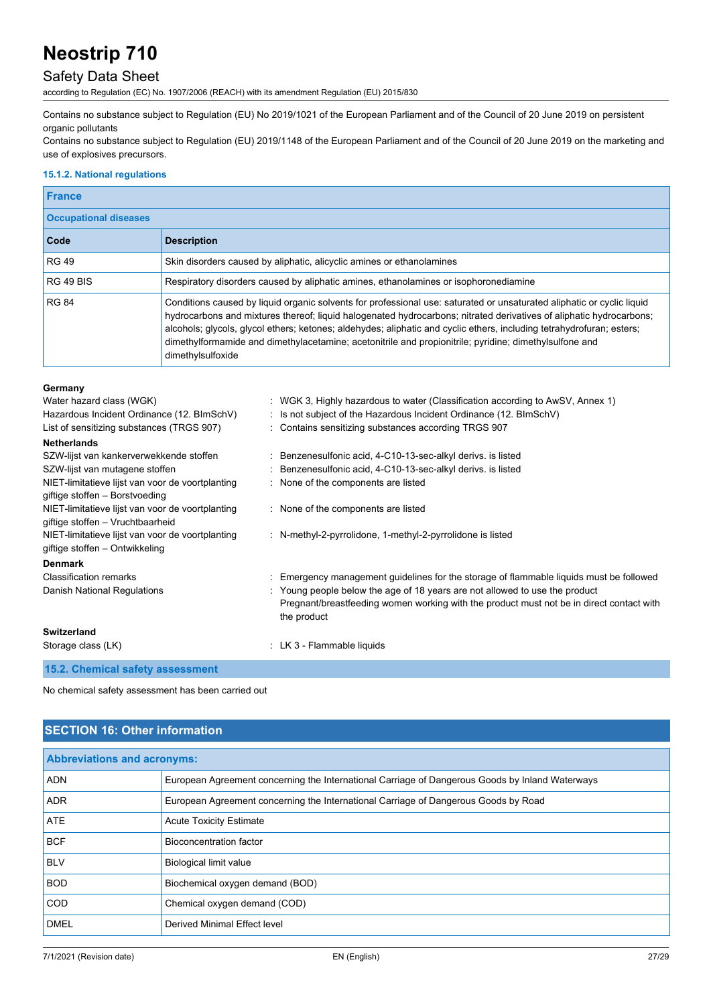### Safety Data Sheet

according to Regulation (EC) No. 1907/2006 (REACH) with its amendment Regulation (EU) 2015/830

Contains no substance subject to Regulation (EU) No 2019/1021 of the European Parliament and of the Council of 20 June 2019 on persistent organic pollutants

Contains no substance subject to Regulation (EU) 2019/1148 of the European Parliament and of the Council of 20 June 2019 on the marketing and use of explosives precursors.

#### **15.1.2. National regulations**

| <b>France</b>                |                                                                                                                                                                                                                                                                                                                                                                                                                                                                                                       |
|------------------------------|-------------------------------------------------------------------------------------------------------------------------------------------------------------------------------------------------------------------------------------------------------------------------------------------------------------------------------------------------------------------------------------------------------------------------------------------------------------------------------------------------------|
| <b>Occupational diseases</b> |                                                                                                                                                                                                                                                                                                                                                                                                                                                                                                       |
| Code                         | <b>Description</b>                                                                                                                                                                                                                                                                                                                                                                                                                                                                                    |
| <b>RG 49</b>                 | Skin disorders caused by aliphatic, alicyclic amines or ethanolamines                                                                                                                                                                                                                                                                                                                                                                                                                                 |
| <b>RG 49 BIS</b>             | Respiratory disorders caused by aliphatic amines, ethanolamines or isophoronediamine                                                                                                                                                                                                                                                                                                                                                                                                                  |
| <b>RG 84</b>                 | Conditions caused by liquid organic solvents for professional use: saturated or unsaturated aliphatic or cyclic liquid<br>hydrocarbons and mixtures thereof; liquid halogenated hydrocarbons; nitrated derivatives of aliphatic hydrocarbons;<br>alcohols; glycols, glycol ethers; ketones; aldehydes; aliphatic and cyclic ethers, including tetrahydrofuran; esters;<br>dimethylformamide and dimethylacetamine; acetonitrile and propionitrile; pyridine; dimethylsulfone and<br>dimethylsulfoxide |

#### **Germany**

| Water hazard class (WGK)<br>Hazardous Incident Ordinance (12. BImSchV)<br>List of sensitizing substances (TRGS 907) | : WGK 3, Highly hazardous to water (Classification according to AwSV, Annex 1)<br>: Is not subject of the Hazardous Incident Ordinance (12. BImSchV)<br>: Contains sensitizing substances according TRGS 907                                                                    |
|---------------------------------------------------------------------------------------------------------------------|---------------------------------------------------------------------------------------------------------------------------------------------------------------------------------------------------------------------------------------------------------------------------------|
| <b>Netherlands</b>                                                                                                  |                                                                                                                                                                                                                                                                                 |
| SZW-lijst van kankerverwekkende stoffen                                                                             | : Benzenesulfonic acid, 4-C10-13-sec-alkyl derivs. is listed                                                                                                                                                                                                                    |
| SZW-lijst van mutagene stoffen                                                                                      | Benzenesulfonic acid, 4-C10-13-sec-alkyl derivs. is listed                                                                                                                                                                                                                      |
| NIET-limitatieve lijst van voor de voortplanting<br>giftige stoffen - Borstvoeding                                  | : None of the components are listed                                                                                                                                                                                                                                             |
| NIET-limitatieve lijst van voor de voortplanting<br>giftige stoffen - Vruchtbaarheid                                | : None of the components are listed                                                                                                                                                                                                                                             |
| NIET-limitatieve lijst van voor de voortplanting<br>giftige stoffen – Ontwikkeling                                  | : N-methyl-2-pyrrolidone, 1-methyl-2-pyrrolidone is listed                                                                                                                                                                                                                      |
| <b>Denmark</b>                                                                                                      |                                                                                                                                                                                                                                                                                 |
| <b>Classification remarks</b><br>Danish National Regulations                                                        | Emergency management guidelines for the storage of flammable liquids must be followed<br>: Young people below the age of 18 years are not allowed to use the product<br>Pregnant/breastfeeding women working with the product must not be in direct contact with<br>the product |
| Switzerland                                                                                                         |                                                                                                                                                                                                                                                                                 |
| Storage class (LK)                                                                                                  | : LK 3 - Flammable liquids                                                                                                                                                                                                                                                      |
| <b>AE 9</b> Chamical sefects cooperation                                                                            |                                                                                                                                                                                                                                                                                 |

**15.2. Chemical safety assessment**

No chemical safety assessment has been carried out

### **SECTION 16: Other information**

| <b>Abbreviations and acronyms:</b> |                                                                                                 |
|------------------------------------|-------------------------------------------------------------------------------------------------|
| <b>ADN</b>                         | European Agreement concerning the International Carriage of Dangerous Goods by Inland Waterways |
| <b>ADR</b>                         | European Agreement concerning the International Carriage of Dangerous Goods by Road             |
| ATE                                | <b>Acute Toxicity Estimate</b>                                                                  |
| <b>BCF</b>                         | Bioconcentration factor                                                                         |
| <b>BLV</b>                         | <b>Biological limit value</b>                                                                   |
| <b>BOD</b>                         | Biochemical oxygen demand (BOD)                                                                 |
| <b>COD</b>                         | Chemical oxygen demand (COD)                                                                    |
| <b>DMEL</b>                        | Derived Minimal Effect level                                                                    |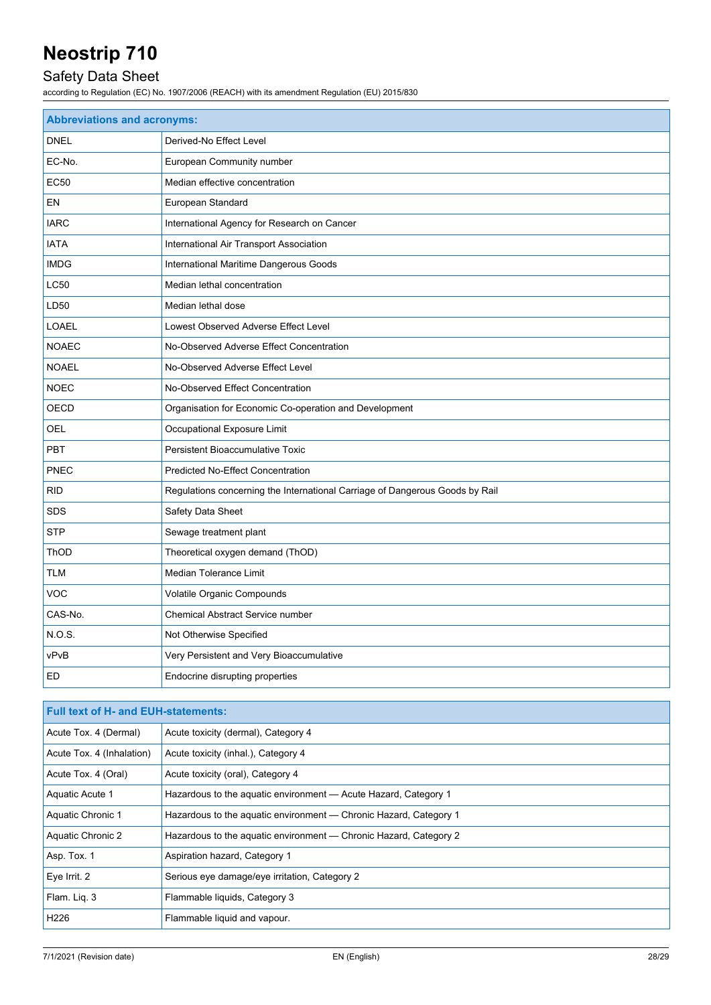## Safety Data Sheet

| <b>Abbreviations and acronyms:</b> |                                                                              |
|------------------------------------|------------------------------------------------------------------------------|
| <b>DNEL</b>                        | Derived-No Effect Level                                                      |
| EC-No.                             | European Community number                                                    |
| <b>EC50</b>                        | Median effective concentration                                               |
| EN                                 | European Standard                                                            |
| <b>IARC</b>                        | International Agency for Research on Cancer                                  |
| <b>IATA</b>                        | International Air Transport Association                                      |
| <b>IMDG</b>                        | International Maritime Dangerous Goods                                       |
| LC50                               | Median lethal concentration                                                  |
| LD50                               | Median lethal dose                                                           |
| <b>LOAEL</b>                       | Lowest Observed Adverse Effect Level                                         |
| <b>NOAEC</b>                       | No-Observed Adverse Effect Concentration                                     |
| <b>NOAEL</b>                       | No-Observed Adverse Effect Level                                             |
| <b>NOEC</b>                        | No-Observed Effect Concentration                                             |
| OECD                               | Organisation for Economic Co-operation and Development                       |
| OEL                                | Occupational Exposure Limit                                                  |
| <b>PBT</b>                         | Persistent Bioaccumulative Toxic                                             |
| PNEC                               | <b>Predicted No-Effect Concentration</b>                                     |
| <b>RID</b>                         | Regulations concerning the International Carriage of Dangerous Goods by Rail |
| <b>SDS</b>                         | Safety Data Sheet                                                            |
| <b>STP</b>                         | Sewage treatment plant                                                       |
| ThOD                               | Theoretical oxygen demand (ThOD)                                             |
| <b>TLM</b>                         | Median Tolerance Limit                                                       |
| <b>VOC</b>                         | Volatile Organic Compounds                                                   |
| CAS-No.                            | <b>Chemical Abstract Service number</b>                                      |
| N.O.S.                             | Not Otherwise Specified                                                      |
| vPvB                               | Very Persistent and Very Bioaccumulative                                     |
| ED                                 | Endocrine disrupting properties                                              |

| <b>Full text of H- and EUH-statements:</b> |                                                                   |
|--------------------------------------------|-------------------------------------------------------------------|
| Acute Tox. 4 (Dermal)                      | Acute toxicity (dermal), Category 4                               |
| Acute Tox. 4 (Inhalation)                  | Acute toxicity (inhal.), Category 4                               |
| Acute Tox. 4 (Oral)                        | Acute toxicity (oral), Category 4                                 |
| Aquatic Acute 1                            | Hazardous to the aquatic environment - Acute Hazard, Category 1   |
| Aquatic Chronic 1                          | Hazardous to the aquatic environment - Chronic Hazard, Category 1 |
| Aquatic Chronic 2                          | Hazardous to the aguatic environment — Chronic Hazard, Category 2 |
| Asp. Tox. 1                                | Aspiration hazard, Category 1                                     |
| Eye Irrit. 2                               | Serious eye damage/eye irritation, Category 2                     |
| Flam. Lig. 3                               | Flammable liquids, Category 3                                     |
| H226                                       | Flammable liquid and vapour.                                      |